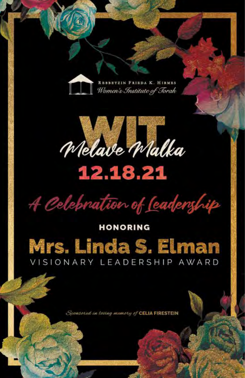

**BBBBTZIN FRIBDA K. HIRMES** Women's Institute of Torah



# 12.18.21

A Celebration of Ceadership

# **HONORING** Mrs. Linda S. Elman VISIONARY LEADERSHIP AWARD

Sponsored in loving mamory of CELIA FIRESTEIN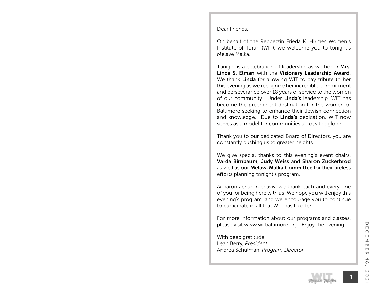Dear Friends,

On behalf of the Rebbetzin Frieda K. Hirmes Women's Institute of Torah (WIT), we welcome you to tonight's Melave Malka.

Tonight is a celebration of leadership as we honor Mrs. Linda S. Elman with the Visionary Leadership Award. We thank Linda for allowing WIT to pay tribute to her this evening as we recognize her incredible commitment and perseverance over 18 years of service to the women of our community. Under Linda's leadership, WIT has become the preeminent destination for the women of Baltimore seeking to enhance their Jewish connection and knowledge. Due to Linda's dedication, WIT now serves as a model for communities across the globe.

Thank you to our dedicated Board of Directors, you are constantly pushing us to greater heights.

We give special thanks to this evening's event chairs, Varda Birnbaum, Judy Weiss and Sharon Zuckerbrod as well as our Melava Malka Committee for their tireless efforts planning tonight's program.

Acharon acharon chaviv, we thank each and every one of you for being here with us. We hope you will enjoy this evening's program, and we encourage you to continue to participate in all that WIT has to offer.

For more information about our programs and classes, please visit www.witbaltimore.org. Enjoy the evening!

With deep gratitude, Leah Berry, *President* Andrea Schulman, *Program Director*

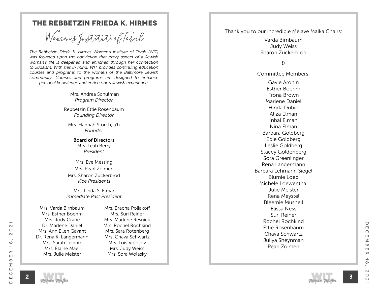### **The Rebbetzin Frieda K. Hirmes**

Women's fustitute of Torah Thank you to our incredible Melave Malka Chairs:

*The Rebbetzin Frieda K. Hirmes Women's Institute of Torah (WIT) was founded upon the conviction that every aspect of a Jewish woman's life is deepened and enriched through her connection to Judaism. With this in mind, WIT provides continuing education courses and programs to the women of the Baltimore Jewish community. Courses and programs are designed to enhance personal knowledge and enrich one's Jewish experience.*

> Mrs. Andrea Schulman *Program Director*

Rebbetzin Ettie Rosenbaum *Founding Director*

Mrs. Hannah Storch, a'h *Founder*

Board of Directors Mrs. Leah Berry *President*

Mrs. Eve Messing Mrs. Pearl Zoimen Mrs. Sharon Zuckerbrod *Vice Presidents*

 Mrs. Linda S. Elman *Immediate Past President*

Mrs. Varda Birnbaum Mrs. Esther Boehm Mrs. Jody Crane Dr. Marlene Daniel Mrs. Ann Ellen Gavant Dr. Rena K. Langermann Mrs. Sarah Leipnik Mrs. Elaine Mael Mrs. Julie Meister

Mrs. Bracha Poliakoff Mrs. Suri Reiner Mrs. Marlene Resnick Mrs. Rochel Rochkind Mrs. Sara Rotenberg Mrs. Chava Schwartz Mrs. Lois Volosov Mrs. Judy Weiss Mrs. Sora Wolasky

Varda Birnbaum Judy Weiss Sharon Zuckerbrod

#### &

Committee Members:

Gayle Aronin Esther Boehm Frona Brown Marlene Daniel Hinda Dubin Aliza Elman Inbal Elman Nina Elman Barbara Goldberg Edie Goldberg Leslie Goldberg Stacey Goldenberg Sora Greenlinger Rena Langermann Barbara Lehmann Siegel Blumie Loeb Michele Loewenthal Julie Meister Rena Meystel Bleemie Mushell Elissa Ness Suri Reiner Rochel Rochkind Ettie Rosenbaum Chava Schwartz Juliya Sheynman Pearl Zoimen

 $\mathbf{\Omega}$ 

 $\circ$ 

 $\sim$ 

 $\infty$ 

 $\overline{\phantom{0}}$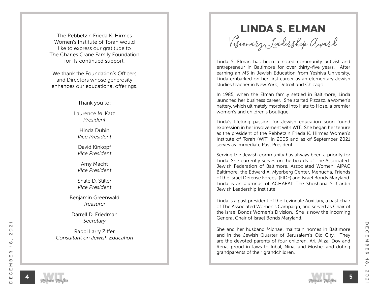Women's Institute of Torah would like to express our gratitude to The Charles Crane Family Foundation for its continued support.

We thank the Foundation's Officers and Directors whose generosity enhances our educational offerings.

Thank you to:

Laurence M. Katz *President*

Hinda Dubin *Vice President*

David Kinkopf *Vice President*

Amy Macht *Vice President*

Shale D. Stiller *Vice President*

Benjamin Greenwald *Treasurer*

Darrell D. Friedman *Secretary*

Rabbi Larry Ziffer *Consultant on Jewish Education*

**Linda S. Elman**

The Rebbetzin Frieda K. Hirmes<br>Vomen's Institute of Torah would<br>like to express our gratitude to

Linda S. Elman has been a noted community activist and entrepreneur in Baltimore for over thirty-five years. After earning an MS in Jewish Education from Yeshiva University, Linda embarked on her first career as an elementary Jewish studies teacher in New York, Detroit and Chicago.

In 1985, when the Elman family settled in Baltimore, Linda launched her business career. She started Pizzazz, a women's hattery, which ultimately morphed into Hats to Hose, a premier women's and children's boutique.

Linda's lifelong passion for Jewish education soon found expression in her involvement with WIT. She began her tenure as the president of the Rebbetzin Frieda K. Hirmes Women's Institute of Torah (WIT) in 2003 and as of September 2021 serves as Immediate Past President.

Serving the Jewish community has always been a priority for Linda. She currently serves on the boards of The Associated: Jewish Federation of Baltimore, Associated Women, AIPAC Baltimore, the Edward A. Myerberg Center, Menucha, Friends of the Israel Defense Forces, (FIDF) and Israel Bonds Maryland. Linda is an alumnus of ACHARAI: The Shoshana S. Cardin Jewish Leadership Institute.

Linda is a past president of the Levindale Auxiliary, a past chair of The Associated Women's Campaign, and served as Chair of the Israel Bonds Women's Division. She is now the incoming General Chair of Israel Bonds Maryland.

She and her husband Michael maintain homes in Baltimore and in the Jewish Quarter of Jerusalem's Old City. They are the devoted parents of four children, Ari, Aliza, Dov and Rena, proud in-laws to Inbal, Nina, and Moshe, and doting grandparents of their grandchildren.



**4**

December 18, 2021

 $\rightarrow$ 

 $\infty$ 

 $\mathsf{N}$ 

 $\circ$ 

 $\sim$ 

 $\rm \pi$ 

U

 $\Box$ 

 $\Omega$ 

 $\blacksquare$  $\overline{\leq}$ 

 $\infty$  $\blacksquare$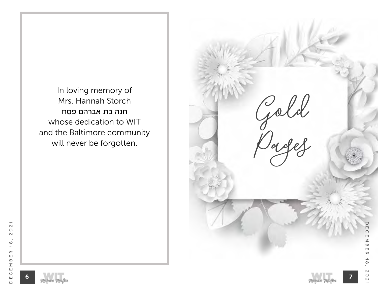In loving memory of Mrs. Hannah Storch חנה בת אברהם פסח whose dedication to WIT and the Baltimore community will never be forgotten.



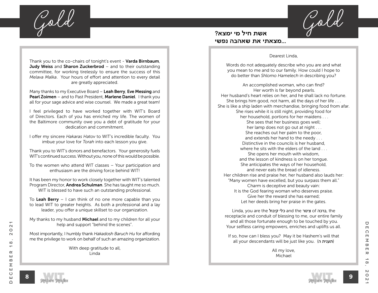**Gold Gold**

Thank you to the co-chairs of tonight's event - Varda Birnbaum, **Judy Weiss** and **Sharon Zuckerbrod** – and to their outstanding committee, for working tirelessly to ensure the success of this *Melava Malka*. Your hours of effort and attention to every detail are greatly appreciated.

Many thanks to my Executive Board – Leah Berry, Eve Messing and Pearl Zoimen – and to Past President, Marlene Daniel. I thank you all for your sage advice and wise counsel. We made a great team!

I feel privileged to have worked together with WIT's Board of Directors. Each of you has enriched my life. The women of the Baltimore community owe you a debt of gratitude for your dedication and commitment.

I offer my sincere *Hakaras Hatov* to WIT's incredible faculty. You imbue your love for *Torah* into each lesson you give.

Thank you to WIT's donors and benefactors. Your generosity fuels WIT's continued success. Without you, none of this would be possible.

To the women who attend WIT classes – Your participation and enthusiasm are the driving force behind WIT!

It has been my honor to work closely together with WIT's talented Program Director, **Andrea Schulman**. She has taught me so much. WIT is blessed to have such an outstanding professional.

To Leah Berry  $-1$  can think of no one more capable than you to lead WIT to greater heights. As both a professional and a lay leader, you offer a unique skillset to our organization.

My thanks to my husband **Michael** and to my children for all your help and support "behind the scenes".

Most importantly, I humbly thank *Hakadosh Baruch Hu* for affording me the privilege to work on behalf of such an amazing organization.

> With deep gratitude to all, Linda

#### **אשת חיל מי ימצא? ...מצאתי את שאהבה נפשי**

#### Dearest Linda,

Words do not adequately describe who you are and what you mean to me and to our family. How could I hope to do better than *Shlomo Hamelech* in describing you?

An accomplished woman, who can find? Her worth is far beyond pearls. Her husband's heart relies on her, and he shall lack no fortune. She brings him good, not harm, all the days of her life . . . She is like a ship laden with merchandise, bringing food from afar. She rises while it is still night, providing food for her household, portions for her maidens . . . She sees that her business goes well; her lamp does not go out at night . . . She reaches out her palm to the poor, and extends her hand to the needy . . . Distinctive in the councils is her husband, where he sits with the elders of the land She opens her mouth with wisdom, and the lesson of kindness is on her tongue. She anticipates the ways of her household, and never eats the bread of idleness. Her children rise and praise her, her husband also lauds her: "Many women have excelled, but you surpass them all." Charm is deceptive and beauty vain: It is the God fearing woman who deserves praise. Give her the reward she has earned; Let her deeds bring her praise in the gates.

Linda, you are the קיבול כלי and the צינור of ברכה, the receptacle and conduit of blessing to me, our entire family and all those fortunate enough to be touched by you. Your selfless caring empowers, enriches and uplifts us all.

If so, how can I bless you? May it be Hashem's will that all your descendants will be just like you. (תענית ה)

> All my love, Michael

December 18, 2021

 $\rightarrow$ 

 $\infty$ 

 $\mathsf{N}$ 

 $\circ$ 

 $\mathsf{N}$ 

 $\rm \pi$ 

 $\bigcirc$ 

 $\Box$ 

 $\Omega$ 

 $\blacksquare$  $\leq$ 

 $\infty$ 

 $\Box$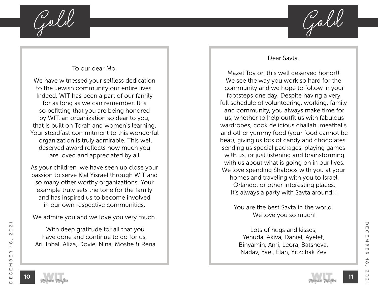

#### To our dear Mo,

We have witnessed your selfless dedication to the Jewish community our entire lives. Indeed, WIT has been a part of our family for as long as we can remember. It is so befitting that you are being honored by WIT, an organization so dear to you, that is built on Torah and women's learning. Your steadfast commitment to this wonderful organization is truly admirable. This well deserved award reflects how much you are loved and appreciated by all.

As your children, we have seen up close your passion to serve Klal Yisrael through WIT and so many other worthy organizations. Your example truly sets the tone for the family and has inspired us to become involved in our own respective communities.

We admire you and we love you very much.

 With deep gratitude for all that you have done and continue to do for us, Ari, Inbal, Aliza, Dovie, Nina, Moshe & Rena

#### Dear Savta,

Mazel Tov on this well deserved honor!! We see the way you work so hard for the community and we hope to follow in your footsteps one day. Despite having a very full schedule of volunteering, working, family and community, you always make time for us, whether to help outfit us with fabulous wardrobes, cook delicious challah, meatballs and other yummy food (your food cannot be beat), giving us lots of candy and chocolates, sending us special packages, playing games with us, or just listening and brainstorming with us about what is going on in our lives. We love spending Shabbos with you at your homes and traveling with you to Israel, Orlando, or other interesting places. It's always a party with Savta around!!!

> You are the best Savta in the world. We love you so much!

Lots of hugs and kisses, Yehuda, Akiva, Daniel, Ayelet, Binyamin, Ami, Leora, Batsheva, Nadav, Yael, Elan, Yitzchak Zev

**11**

 $\mathbf{\Omega}$ 

 $\circ$ 

 $\sim$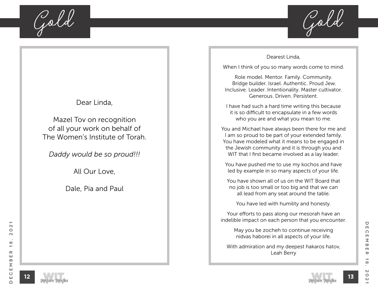

### Dear Linda,

Mazel Tov on recognition of all your work on behalf of The Women's Institute of Torah.

*Daddy would be so proud!!!*

All Our Love,

Dale, Pia and Paul

#### Dearest Linda,

When I think of you so many words come to mind.

Role model. Mentor. Family. Community. Bridge builder. Israel. Authentic. Proud Jew. Inclusive. Leader. Intentionality. Master cultivator. Generous. Driven. Persistent.

I have had such a hard time writing this because it is so difficult to encapsulate in a few words who you are and what you mean to me.

You and Michael have always been there for me and I am so proud to be part of your extended family. You have modeled what it means to be engaged in the Jewish community and it is through you and WIT that I first became involved as a lay leader.

You have pushed me to use my kochos and have led by example in so many aspects of your life.

You have shown all of us on the WIT Board that no job is too small or too big and that we can all lead from any seat around the table.

You have led with humility and honesty.

Your efforts to pass along our mesorah have an indelible impact on each person that you encounter.

May you be zocheh to continue receiving nidvas haborei in all aspects of your life.

With admiration and my deepest hakaros hatov, Leah Berry

 $\mathbf{\Omega}$ 

 $\circ$ 

 $\sim$ 

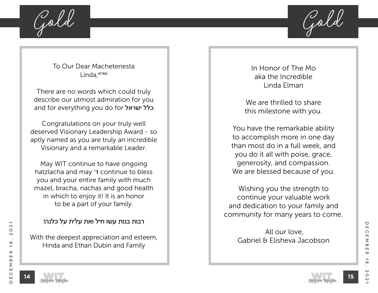

To Our Dear Machetenesta עמו״ש,Linda

There are no words which could truly describe our utmost admiration for you and for everything you do for ישראל.

Congratulations on your truly well deserved Visionary Leadership Award - so aptly named as you are truly an incredible Visionary and a remarkable Leader.

May WIT continue to have ongoing hatzlacha and may ד׳ continue to bless you and your entire family with much mazel, bracha, nachas and good health in which to enjoy it! It is an honor to be a part of your family.

### רבות בנות עשו חיל ואת עלית על כלנה!

With the deepest appreciation and esteem, Hinda and Ethan Dubin and Family

In Honor of The Mo aka the Incredible Linda Elman

We are thrilled to share this milestone with you.

You have the remarkable ability to accomplish more in one day than most do in a full week, and you do it all with poise, grace, generosity, and compassion. We are blessed because of you.

Wishing you the strength to continue your valuable work and dedication to your family and community for many years to come.

> All our love, Gabriel & Elisheva Jacobson

 $\mathbf{\Omega}$ 

 $\circ$ 

 $\sim$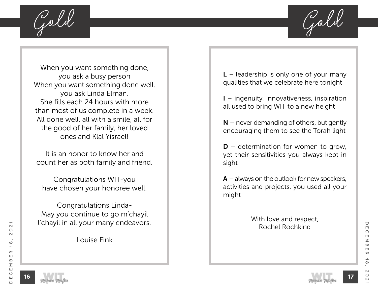**Gold Gold**

When you want something done, you ask a busy person When you want something done well, you ask Linda Elman. She fills each 24 hours with more than most of us complete in a week. All done well, all with a smile, all for the good of her family, her loved ones and Klal Yisrael!

It is an honor to know her and count her as both family and friend.

Congratulations WIT-you have chosen your honoree well.

Congratulations Linda-May you continue to go m'chayil l'chayil in all your many endeavors.

Louise Fink

 $L$  – leadership is only one of your many qualities that we celebrate here tonight

I – ingenuity, innovativeness, inspiration all used to bring WIT to a new height

 $N$  – never demanding of others, but gently encouraging them to see the Torah light

 $D$  – determination for women to grow, yet their sensitivities you always kept in sight

 $A -$  always on the outlook for new speakers, activities and projects, you used all your might

> With love and respect, Rochel Rochkind



**16**

December 18, 2021

 $\boldsymbol{\pi}$ 

 $\infty$ 

 $\mathsf{N}$ 

 $\circ$ 

U

 $\Box$ 

 $\Omega$ 

 $\blacksquare$  $\leq$ 

 $\overline{\mathbf{w}}$  $\Box$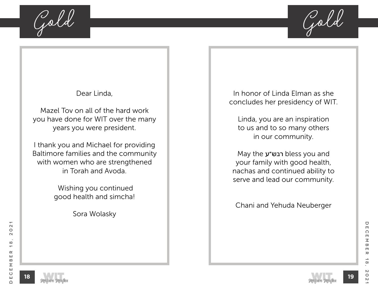**Gold Gold**



Dear Linda,

Mazel Tov on all of the hard work you have done for WIT over the many years you were president.

I thank you and Michael for providing Baltimore families and the community with women who are strengthened in Torah and Avoda.

> Wishing you continued good health and simcha!

> > Sora Wolasky

In honor of Linda Elman as she concludes her presidency of WIT.

Linda, you are an inspiration to us and to so many others in our community.

May the רבש״ע bless you and your family with good health, nachas and continued ability to serve and lead our community.

Chani and Yehuda Neuberger



**18**

December 18, 2021

 $\rightarrow$ 

 $\infty$ 

 $\mathsf{N}$ 

 $\circ$ 

 $\mathsf{N}$ 

 $\rm \pi$ 

 $\blacksquare$ 

 $\varpi$ 

 $\bigcirc$ 

 $\blacksquare$ 

 $\Omega$ 

 $\Box$  $\leq$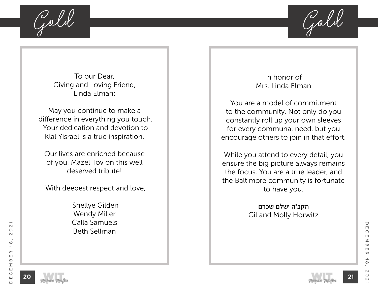

To our Dear, Giving and Loving Friend, Linda Elman:

May you continue to make a difference in everything you touch. Your dedication and devotion to Klal Yisrael is a true inspiration.

Our lives are enriched because of you. Mazel Tov on this well deserved tribute!

With deepest respect and love,

 Shellye Gilden Wendy Miller Calla Samuels Beth Sellman

In honor of Mrs. Linda Elman

You are a model of commitment to the community. Not only do you constantly roll up your own sleeves for every communal need, but you encourage others to join in that effort.

While you attend to every detail, you ensure the big picture always remains the focus. You are a true leader, and the Baltimore community is fortunate to have you.

> הקב"ה ישלם שכרם Gil and Molly Horwitz



**20**

December 18, 2021

 $\infty$ 

 $\circ$ 

 $\mathsf{N}$ 

 $\rm \pi$ 

 $\blacksquare$ 

 $\bigcirc$ 

 $\Box$ 

 $\Omega$ 

 $\blacksquare$  $\leq$ 

 $\varpi$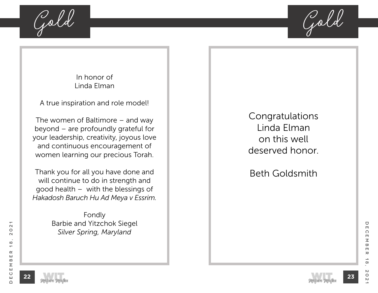

In honor of Linda Elman

A true inspiration and role model!

The women of Baltimore – and way beyond – are profoundly grateful for your leadership, creativity, joyous love and continuous encouragement of women learning our precious Torah.

Thank you for all you have done and will continue to do in strength and good health – with the blessings of *Hakadosh Baruch Hu Ad Meya v Essrim.*

> Fondly Barbie and Yitzchok Siegel *Silver Spring, Maryland*

Congratulations Linda Elman on this well deserved honor.

Beth Goldsmith





December 18, 2021

 $\rightarrow$ 

 $\infty$ 

 $\circ$ 

 $\mathsf{N}$ 

 $\rm \pi$ 

 $\blacksquare$ 

 $\varpi$ 

 $\bigcirc$ 

 $\blacksquare$ 

 $\Omega$ 

 $\Box$  $\leq$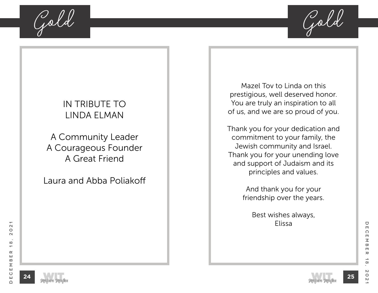**Gold Gold**



# IN TRIBUTE TO LINDA ELMAN

A Community Leader A Courageous Founder A Great Friend

Laura and Abba Poliakoff

Mazel Tov to Linda on this prestigious, well deserved honor. You are truly an inspiration to all of us, and we are so proud of you.

Thank you for your dedication and commitment to your family, the Jewish community and Israel. Thank you for your unending love and support of Judaism and its principles and values.

> And thank you for your friendship over the years.

> > Best wishes always, Elissa

 $\mathbf{\Omega}$ 



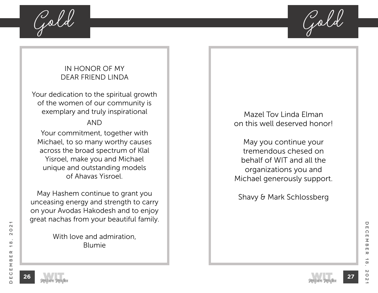

### IN HONOR OF MY DEAR FRIEND LINDA

Your dedication to the spiritual growth of the women of our community is exemplary and truly inspirational

### AND

Your commitment, together with Michael, to so many worthy causes across the broad spectrum of Klal Yisroel, make you and Michael unique and outstanding models of Ahavas Yisroel.

May Hashem continue to grant you unceasing energy and strength to carry on your Avodas Hakodesh and to enjoy great nachas from your beautiful family.

> With love and admiration, Blumie

Mazel Tov Linda Elman on this well deserved honor!

May you continue your tremendous chesed on behalf of WIT and all the organizations you and Michael generously support.

Shavy & Mark Schlossberg



December 18, 2021

 $\boldsymbol{\pi}$ 

 $\infty$ 

 $\circ$ 

 $\blacksquare$ 

 $\varpi$ 

U

 $\blacksquare$ 

 $\Omega$ 

 $\Box$  $\leq$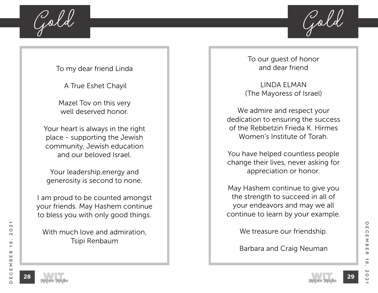

To my dear friend Linda

A True Eshet Chayil

Mazel Tov on this very well deserved honor.

Your heart is always in the right place - supporting the Jewish community, Jewish education and our beloved Israel.

Your leadership,energy and generosity is second to none.

I am proud to be counted amongst your friends. May Hashem continue to bless you with only good things.

With much love and admiration. Tsipi Renbaum

To our guest of honor and dear friend

LINDA ELMAN (The Mayoress of Israel)

We admire and respect your dedication to ensuring the success of the Rebbetzin Frieda K. Hirmes Women's Institute of Torah.

You have helped countless people change their lives, never asking for appreciation or honor.

May Hashem continue to give you the strength to succeed in all of your endeavors and may we all continue to learn by your example.

We treasure our friendship.

Barbara and Craig Neuman

**29**

 $\mathbf{\Omega}$ 

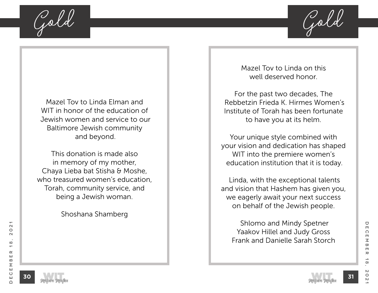

Mazel Tov to Linda Elman and WIT in honor of the education of Jewish women and service to our Baltimore Jewish community and beyond.

This donation is made also in memory of my mother, Chaya Lieba bat Stisha & Moshe, who treasured women's education, Torah, community service, and being a Jewish woman.

Shoshana Shamberg

Mazel Tov to Linda on this well deserved honor.

For the past two decades, The Rebbetzin Frieda K. Hirmes Women's Institute of Torah has been fortunate to have you at its helm.

Your unique style combined with your vision and dedication has shaped WIT into the premiere women's education institution that it is today.

 Linda, with the exceptional talents and vision that Hashem has given you, we eagerly await your next success on behalf of the Jewish people.

 Shlomo and Mindy Spetner Yaakov Hillel and Judy Gross Frank and Danielle Sarah Storch



December 18, 2021

 $\rightarrow$ 

 $\infty$ 

 $\circ$ 

 $\mathsf{N}$ 

 $\rm \pi$ 

 $\overline{\mathbf{w}}$  $\blacksquare$ 

U

 $\Box$ 

 $\Omega$ 

 $\Box$  $\leq$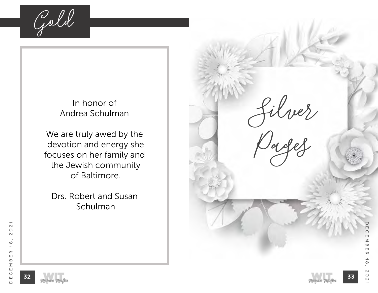**Gold**

### In honor of Andrea Schulman

We are truly awed by the devotion and energy she focuses on her family and the Jewish community of Baltimore.

Drs. Robert and Susan Schulman

**Silver Pages** December 18, 2021 Ш  $\Omega$  $\Box$  $\leq$  $\infty$  $\Box$  $\boldsymbol{\pi}$  $\infty$  $\mathsf{N}\mathsf{S}$  $\circ$ **33**  $\overline{a}$ 

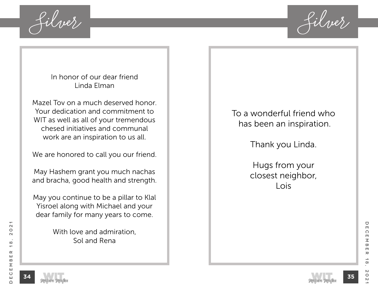

In honor of our dear friend Linda Elman

Mazel Tov on a much deserved honor. Your dedication and commitment to WIT as well as all of your tremendous chesed initiatives and communal work are an inspiration to us all.

We are honored to call you our friend.

May Hashem grant you much nachas and bracha, good health and strength.

May you continue to be a pillar to Klal Yisroel along with Michael and your dear family for many years to come.

> With love and admiration, Sol and Rena

To a wonderful friend who has been an inspiration.

Thank you Linda.

Hugs from your closest neighbor, Lois



December 18, 2021

 $\infty$ 

 $\circ$ 

 $\mathsf{N}$ 

 $\rm \pi$ 

 $\blacksquare$ 

 $\varpi$ 

U

 $\blacksquare$ 

 $\Omega$ 

 $\Box$  $\leq$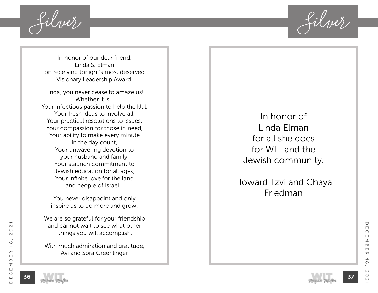**Silver Silver**

In honor of our dear friend, Linda S. Elman on receiving tonight's most deserved Visionary Leadership Award.

Linda, you never cease to amaze us! Whether it is… Your infectious passion to help the klal, Your fresh ideas to involve all, Your practical resolutions to issues, Your compassion for those in need, Your ability to make every minute in the day count, Your unwavering devotion to your husband and family, Your staunch commitment to Jewish education for all ages, Your infinite love for the land and people of Israel…

You never disappoint and only inspire us to do more and grow!

We are so grateful for your friendship and cannot wait to see what other things you will accomplish.

With much admiration and gratitude, Avi and Sora Greenlinger

In honor of Linda Elman for all she does for WIT and the Jewish community.

Howard Tzvi and Chaya Friedman

**37**



 $\mathbf{\Omega}$ 

 $\circ$ 

 $\sim$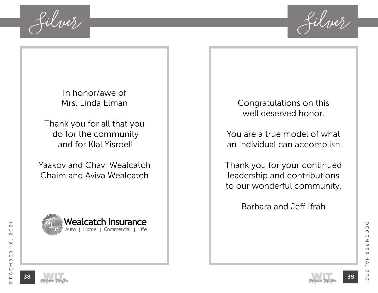

In honor/awe of Mrs. Linda Elman

Thank you for all that you do for the community and for Klal Yisroel!

Yaakov and Chavi Wealcatch Chaim and Aviva Wealcatch



Congratulations on this well deserved honor.

You are a true model of what an individual can accomplish.

Thank you for your continued leadership and contributions to our wonderful community.

Barbara and Jeff Ifrah



 $\bigcirc$ 

 $\blacksquare$ 

 $\Omega$ 

 $\Box$ 

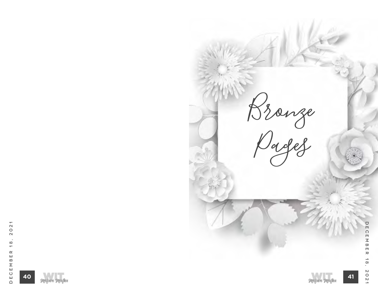





**Bronze** 

**Pages**

December 18, 2021

 $\frac{1}{8}$ 

2021

DECEMBER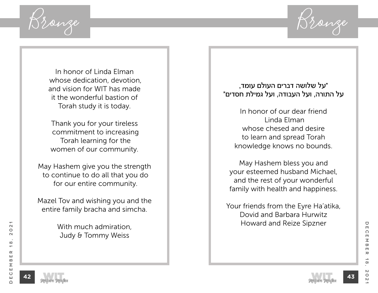

In honor of Linda Elman whose dedication, devotion, and vision for WIT has made it the wonderful bastion of Torah study it is today.

Thank you for your tireless commitment to increasing Torah learning for the women of our community.

May Hashem give you the strength to continue to do all that you do for our entire community.

Mazel Tov and wishing you and the entire family bracha and simcha.

> With much admiration, Judy & Tommy Weiss

"על שלושה דברים העולם עומד, על התורה, ועל העבודה, ועל גמילת חסדים"

> In honor of our dear friend Linda Elman whose chesed and desire to learn and spread Torah knowledge knows no bounds.

May Hashem bless you and your esteemed husband Michael, and the rest of your wonderful family with health and happiness.

Your friends from the Eyre Ha'atika, Dovid and Barbara Hurwitz Howard and Reize Sipzner



December 18, 2021

 $\boldsymbol{\pi}$ 

 $\infty$ 

 $\circ$ 

 $\bigcirc$ 

 $\Box$ 

 $\Omega$ 

 $\blacksquare$  $\leq$ 

 $\overline{\mathbf{w}}$  $\blacksquare$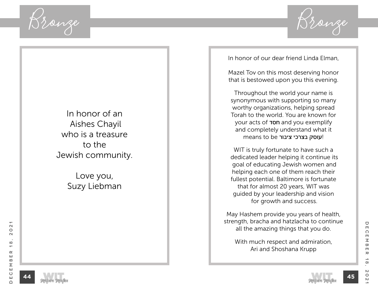

In honor of an Aishes Chayil who is a treasure to the Jewish community.

> Love you, Suzy Liebman

In honor of our dear friend Linda Elman,

Mazel Tov on this most deserving honor that is bestowed upon you this evening.

Throughout the world your name is synonymous with supporting so many worthy organizations, helping spread Torah to the world. You are known for your acts of **TDD** and you exemplify and completely understand what it י**עוסק בצרכי ציבור** means to be

WIT is truly fortunate to have such a dedicated leader helping it continue its goal of educating Jewish women and helping each one of them reach their fullest potential. Baltimore is fortunate that for almost 20 years, WIT was guided by your leadership and vision for growth and success.

May Hashem provide you years of health, strength, bracha and hatzlacha to continue all the amazing things that you do.

With much respect and admiration, Ari and Shoshana Krupp



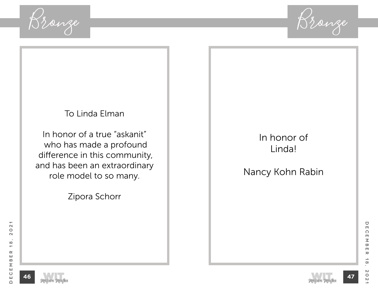

## To Linda Elman

In honor of a true "askanit" who has made a profound difference in this community, and has been an extraordinary role model to so many.

Zipora Schorr

# In honor of Linda!

Nancy Kohn Rabin





December 18, 2021

 $\rightarrow$ 

 $\infty$ 

 $\mathsf{N}\mathsf{S}$ 

 $\circ$ 

 $\mathsf{N}$ 

 $\pmb{\pi}$ 

 $\bigcirc$ 

 $\Box$ 

 $\Omega$ 

 $\Box$  $\leq$ 

 $\varpi$ 

 $\Box$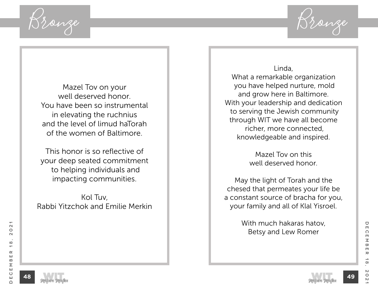

Mazel Tov on your well deserved honor. You have been so instrumental in elevating the ruchnius and the level of limud haTorah of the women of Baltimore.

This honor is so reflective of your deep seated commitment to helping individuals and impacting communities.

Kol Tuv, Rabbi Yitzchok and Emilie Merkin

Linda, What a remarkable organization you have helped nurture, mold and grow here in Baltimore. With your leadership and dedication to serving the Jewish community through WIT we have all become richer, more connected, knowledgeable and inspired.

> Mazel Tov on this well deserved honor.

May the light of Torah and the chesed that permeates your life be a constant source of bracha for you, your family and all of Klal Yisroel.

> With much hakaras hatov, Betsy and Lew Romer





December 18, 2021

 $\boldsymbol{\pi}$ 

 $\infty$ 

 $\circ$ 

 $\mathsf{N}$ 

U

 $\Box$ 

 $\Omega$ 

 $\blacksquare$  $\leq$ 

 $\overline{\mathbf{w}}$  $\blacksquare$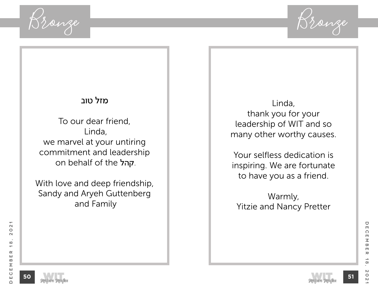

### מזל טוב

To our dear friend, Linda, we marvel at your untiring commitment and leadership on behalf of the קהל.

With love and deep friendship, Sandy and Aryeh Guttenberg and Family

Linda, thank you for your leadership of WIT and so many other worthy causes.

Your selfless dedication is inspiring. We are fortunate to have you as a friend.

Warmly, Yitzie and Nancy Pretter





December 18, 2021

 $\infty$ 

 $\mathsf{N}$ 

 $\circ$ 

 $\mathsf{N}$ 

 $\rm \pi$ 

 $\blacksquare$ 

 $\bigcirc$ 

 $\blacksquare$ 

 $\Omega$ 

 $\Box$  $\leq$ 

 $\varpi$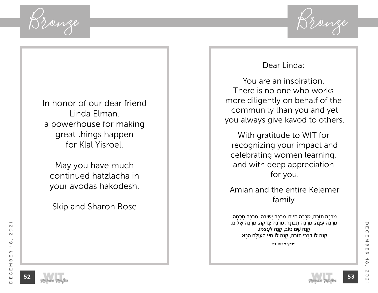

In honor of our dear friend Linda Elman, a powerhouse for making great things happen for Klal Yisroel.

May you have much continued hatzlacha in your avodas hakodesh.

Skip and Sharon Rose

### Dear Linda:

You are an inspiration. There is no one who works more diligently on behalf of the community than you and yet you always give kavod to others.

With gratitude to WIT for recognizing your impact and celebrating women learning, and with deep appreciation for you.

 Amian and the entire Kelemer family

ּמַרְבֵּה תוֹרָה, מַרְבֵּה חַיִּים. מַרְבֵּה יְשִׁיבָה, מַרְבֵּה חָכְמָה. ְ מַרְבֶּה עֵצָה, מַרְבֶּה תְבוּנָה. מַרְבֶּה צְדָקָה, מַרְבֶּה שָׁלֹוֹם. ַ קָנָה שֵׁם טוֹב, קָנָה לְעַצְמוֹ. קָנָה לֹו דִבְרִי תוֹרֵה, קָנָה לֹו חַיֵּי הֲעוֹלָם הַבָּא.

פרקי אבות ב:ז

December 18, 2021

 $\rightarrow$ 

 $\infty$ 

 $\mathsf{N}$ 

 $\circ$ 

 $\mathsf{N}$ 

 $\rm \pi$ 

 $\blacksquare$ 

 $\bigcirc$ 

 $\Box$ 

 $\Omega$ 

 $\Box$  $\leq$ 

 $\varpi$ 

 $\mathbf{\Omega}$ 

 $\circ$ 

 $\sim$ 

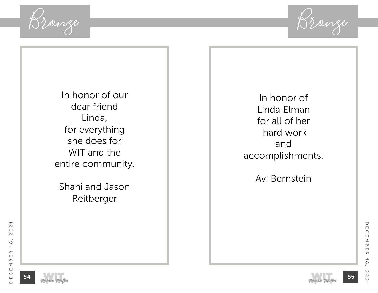

In honor of our dear friend Linda, for everything she does for WIT and the entire community.

Shani and Jason Reitberger

In honor of Linda Elman for all of her hard work and accomplishments.

Avi Bernstein

 $\overline{\phantom{0}}$ 





December 18, 2021

 $\rightarrow$ 

 $\infty$ 

 $\boldsymbol{\mathsf{N}}$ 

 $\circ$ 

 $\mathsf{N}$ 

 $\pmb{\pi}$ 

 $\varpi$ 

 $\Box$ 

 $\bigcirc$ 

 $\Box$ 

 $\Omega$ 

 $\Box$  $\leq$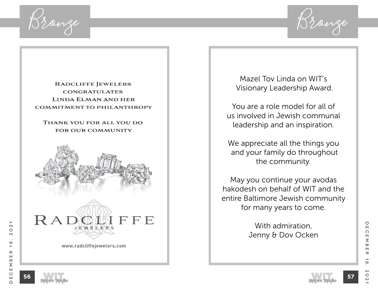

#### **RADCLIFFE JEWELERS CONGRATULATES** LINDA ELMAN AND HER **COMMITMENT TO PHILANTHROPY**

#### THANK YOU FOR ALL YOU DO **FOR OUR COMMUNITY**





www.radcliffejewelers.com

Mazel Tov Linda on WIT's Visionary Leadership Award.

You are a role model for all of us involved in Jewish communal leadership and an inspiration.

We appreciate all the things you and your family do throughout the community.

May you continue your avodas hakodesh on behalf of WIT and the entire Baltimore Jewish community for many years to come.

> With admiration, Jenny & Dov Ocken

December 18, 2021

 $\infty$ 

 $\circ$ 

 $\mathsf{N}$ 

 $\rm \pi$ 

 $\blacksquare$ 

 $\bigcirc$ 

 $\blacksquare$ 

 $\Omega$ 

 $\Box$  $\leq$ 

 $\varpi$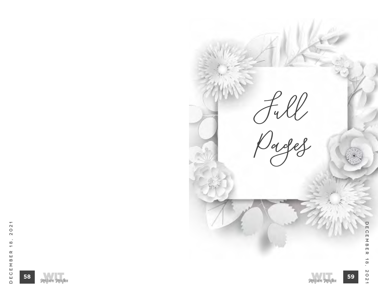





**Full** 

**Pages**

**59**

December 18, 2021

 $18,$ 

 $2021$ 

**DECEMBER**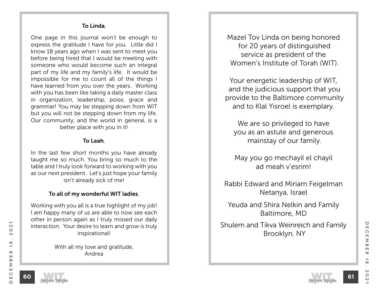#### To Linda,

One page in this journal won't be enough to express the gratitude I have for you. Little did I know 18 years ago when I was sent to meet you before being hired that I would be meeting with someone who would become such an integral part of my life and my family's life. It would be impossible for me to count all of the things I have learned from you over the years. Working with you has been like taking a daily master class in organization, leadership, poise, grace and grammar! You may be stepping down from WIT but you will not be stepping down from my life. Our community, and the world in general, is a better place with you in it!

#### To Leah,

In the last few short months you have already taught me so much. You bring so much to the table and I truly look forward to working with you as our next president. Let's just hope your family isn't already sick of me!

#### To all of my wonderful WIT ladies,

Working with you all is a true highlight of my job! I am happy many of us are able to now see each other in person again as I truly missed our daily interaction. Your desire to learn and grow is truly inspirational!

> With all my love and gratitude, Andrea

Mazel Tov Linda on being honored for 20 years of distinguished service as president of the Women's Institute of Torah (WIT).

Your energetic leadership of WIT, and the judicious support that you provide to the Baltimore community and to Klal Yisroel is exemplary.

We are so privileged to have you as an astute and generous mainstay of our family.

May you go mechayil el chayil ad meah v'esrim!

Rabbi Edward and Miriam Feigelman Netanya, Israel

Yeuda and Shira Nelkin and Family Baltimore, MD

Shulem and Tikva Weinreich and Family Brooklyn, NY



**60**

December 18, 2021

 $\rightarrow$ 

 $\infty$ 

 $\mathsf{N}$ 

 $\circ$ 

 $\mathsf{N}$ 

 $\rm \pi$ 

 $\bigcirc$ 

 $\Box$ 

 $\Omega$ 

 $\overline{\mathsf{m}}$  $\overline{\leq}$ 

 $\infty$ 

 $\Box$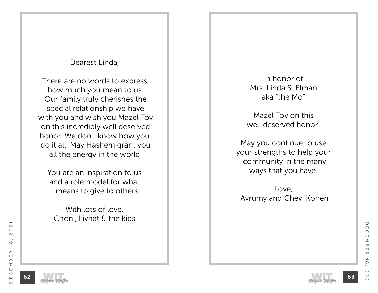### Dearest Linda,

There are no words to express how much you mean to us. Our family truly cherishes the special relationship we have with you and wish you Mazel Tov on this incredibly well deserved honor. We don't know how you do it all. May Hashem grant you all the energy in the world.

You are an inspiration to us and a role model for what it means to give to others.

With lots of love, Choni, Livnat & the kids

In honor of Mrs. Linda S. Elman aka "the Mo"

Mazel Tov on this well deserved honor!

May you continue to use your strengths to help your community in the many ways that you have.

Love, Avrumy and Chevi Kohen



December 18, 2021

 $\rightarrow$ 

 $\infty$ 

 $\circ$ 

 $\mathsf{N}$ 

 $\rm \pi$ 

 $\blacksquare$ 

 $\overline{\mathbf{w}}$ 

U

 $\blacksquare$ 

 $\Omega$ 

 $\Box$  $\leq$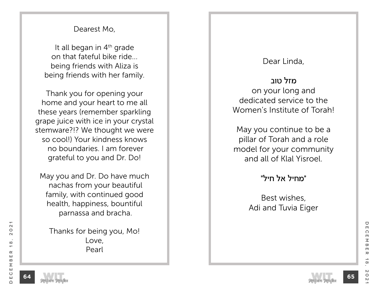### Dearest Mo,

It all began in  $4<sup>th</sup>$  grade on that fateful bike ride... being friends with Aliza is being friends with her family.

Thank you for opening your home and your heart to me all these years (remember sparkling grape juice with ice in your crystal stemware?!? We thought we were so cool!) Your kindness knows no boundaries. I am forever grateful to you and Dr. Do!

May you and Dr. Do have much nachas from your beautiful family, with continued good health, happiness, bountiful parnassa and bracha.

Thanks for being you, Mo! Love, Pearl

### Dear Linda,

מזל טוב on your long and dedicated service to the Women's Institute of Torah!

May you continue to be a pillar of Torah and a role model for your community and all of Klal Yisroel.

"מחיל אל חיל"

Best wishes, Adi and Tuvia Eiger



 $\mathbf{\Omega}$ 

 $\circ$ 

 $\sim$ 

 $\infty$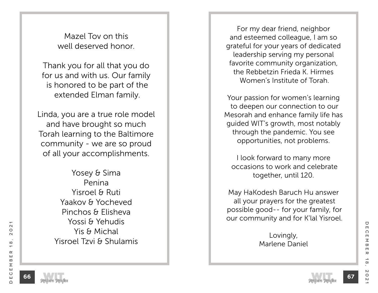Mazel Tov on this well deserved honor.

Thank you for all that you do for us and with us. Our family is honored to be part of the extended Elman family.

Linda, you are a true role model and have brought so much Torah learning to the Baltimore community - we are so proud of all your accomplishments.

> Yosey & Sima Penina Yisroel & Ruti Yaakov & Yocheved Pinchos & Elisheva Yossi & Yehudis Yis & Michal Yisroel Tzvi & Shulamis

For my dear friend, neighbor and esteemed colleague, I am so grateful for your years of dedicated leadership serving my personal favorite community organization, the Rebbetzin Frieda K. Hirmes Women's Institute of Torah.

Your passion for women's learning to deepen our connection to our Mesorah and enhance family life has guided WIT's growth, most notably through the pandemic. You see opportunities, not problems.

I look forward to many more occasions to work and celebrate together, until 120.

May HaKodesh Baruch Hu answer all your prayers for the greatest possible good-- for your family, for our community and for K'lal Yisroel.

> Lovingly, Marlene Daniel

 $\mathbf{\Omega}$ 

 $\circ$ 

 $\sim$ 

 $\infty$ 

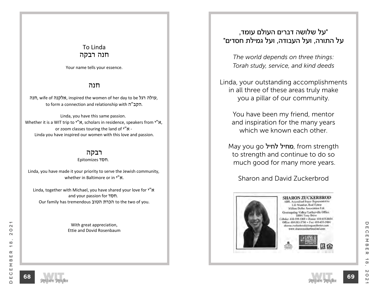### To Linda חנה רבקה

Your name tells your essence.

#### חנה

תנה, wife of אלקנה, inspired the women of her day to be אולה רגל, to form a connection and relationship with הקב"ה.

Linda, you have this same passion. Whether it is a WIT trip to  $y''x$ , scholars in residence, speakers from  $y''x$ , or zoom classes touring the land of  $y''x$  -Linda you have inspired our women with this love and passion.

#### רבקה

Epitomizes חסד.

Linda, you have made it your priority to serve the Jewish community, whether in Baltimore or in "N"

Linda, together with Michael, you have shared your love for  $y''x$ and your passion for חסד. Our family has tremendous הכרת הטוב to the two of you.

> With great appreciation, Ettie and Dovid Rosenbaum

### "על שלושה דברים העולם עומד, על התורה, ועל העבודה, ועל גמילת חסדים"

*The world depends on three things: Torah study, service, and kind deeds*

Linda, your outstanding accomplishments in all three of these areas truly make you a pillar of our community.

You have been my friend, mentor and inspiration for the many years which we known each other.

May you go מחיל לחיל, from strength to strength and continue to do so much good for many more years.

Sharon and David Zuckerbrod



**SHARON ZUCKERBROD ABR.** Accredited Dover Representative-Life Member, Real Estate Million Dollar Association 1.td. Greenspring Valley/Lutherville Office **10801 Teev Drive** chular: 410-599-5303 + Home: 410-653-8654 Office: 416-583-5700 + Fax: 410-653-3804 sharon.zurkerbrodit@ngandfoster.com www.sharographerbrod.lnf.com



U

 $\Box$ 

 $\mathbf{\Omega}$ 

 $\circ$ 

 $\sim$ 

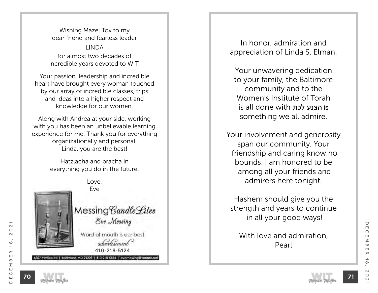Wishing Mazel Tov to my dear friend and fearless leader LINDA for almost two decades of incredible years devoted to WIT.

Your passion, leadership and incredible heart have brought every woman touched by our array of incredible classes, trips and ideas into a higher respect and knowledge for our women.

Along with Andrea at your side, working with you has been an unbelievable learning experience for me. Thank you for everything organizationally and personal. Linda, you are the best!

> Hatzlacha and bracha in everything you do in the future.



Love, Eve

6307 Pimilco Rd | Baltimore, MD 21209 | 410-218-5124 | evernessing@verizon.n

Messing Candle Lites Eve Messing

Word of mouth is our best advertisement 410-218-5124

In honor, admiration and appreciation of Linda S. Elman.

Your unwavering dedication to your family, the Baltimore community and to the Women's Institute of Torah is all done with לכת הצנע is something we all admire.

Your involvement and generosity span our community. Your friendship and caring know no bounds. I am honored to be among all your friends and admirers here tonight.

Hashem should give you the strength and years to continue in all your good ways!

With love and admiration, Pearl

**70**

December 18, 2021

 $\rightarrow$ 

 $\infty$ 

 $\mathsf{N}$ 

 $\circ$ 

 $\mathsf{N}$ 

 $\rm \pi$ 

 $\bigcirc$ 

 $\Box$ 

 $\Omega$ 

 $\blacksquare$  $\overline{\leq}$ 

 $\infty$  $\Box$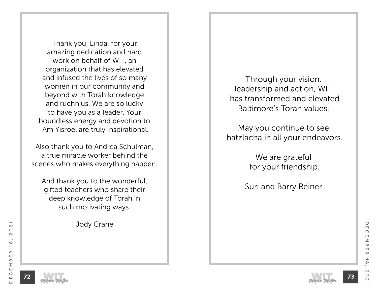Thank you, Linda, for your amazing dedication and hard work on behalf of WIT, an organization that has elevated and infused the lives of so many women in our community and beyond with Torah knowledge and ruchnius. We are so lucky to have you as a leader. Your boundless energy and devotion to Am Yisroel are truly inspirational.

Also thank you to Andrea Schulman, a true miracle worker behind the scenes who makes everything happen.

And thank you to the wonderful, gifted teachers who share their deep knowledge of Torah in such motivating ways.

Jody Crane

Through your vision, leadership and action, WIT has transformed and elevated Baltimore's Torah values.

May you continue to see hatzlacha in all your endeavors.

> We are grateful for your friendship.

Suri and Barry Reiner

**72**



December 18, 2021

 $\boldsymbol{\pi}$ 

 $\infty$ 

 $\circ$ 

 $\mathsf{N}$ 

 $\blacksquare$ 

 $\overline{\mathbf{w}}$ 

U

 $\Box$ 

 $\Omega$ 

 $\Box$  $\leq$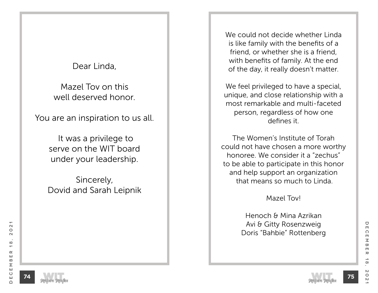# Dear Linda,

Mazel Tov on this well deserved honor.

You are an inspiration to us all.

 It was a privilege to serve on the WIT board under your leadership.

Sincerely, Dovid and Sarah Leipnik We could not decide whether Linda is like family with the benefits of a friend, or whether she is a friend, with benefits of family. At the end of the day, it really doesn't matter.

We feel privileged to have a special, unique, and close relationship with a most remarkable and multi-faceted person, regardless of how one defines it.

The Women's Institute of Torah could not have chosen a more worthy honoree. We consider it a "zechus" to be able to participate in this honor and help support an organization that means so much to Linda.

Mazel Tov!

Henoch & Mina Azrikan Avi & Gitty Rosenzweig Doris "Bahbie" Rottenberg



December 18, 2021

 $\infty$ 

 $\circ$ 

 $\mathsf{N}$ 

 $\rm \pi$ 

 $\bigcirc$ 

 $\blacksquare$ 

 $\Omega$ 

 $\blacksquare$  $\leq$ 

 $\varpi$  $\blacksquare$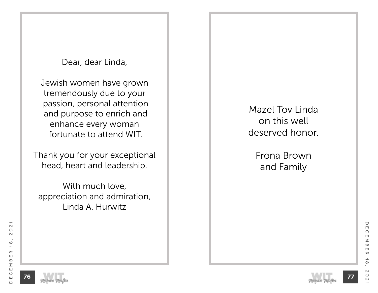Dear, dear Linda,

Jewish women have grown tremendously due to your passion, personal attention and purpose to enrich and enhance every woman fortunate to attend WIT.

Thank you for your exceptional head, heart and leadership.

With much love, appreciation and admiration, Linda A. Hurwitz

Mazel Tov Linda on this well deserved honor.

> Frona Brown and Family





December 18, 2021

 $\infty$ 

 $\mathsf{N}$ 

 $\circ$ 

 $\mathsf{N}$ 

 $\rm \pi$ 

 $\blacksquare$ 

 $\bigcirc$ 

 $\blacksquare$ 

 $\Omega$ 

m  $\leq$ 

 $\varpi$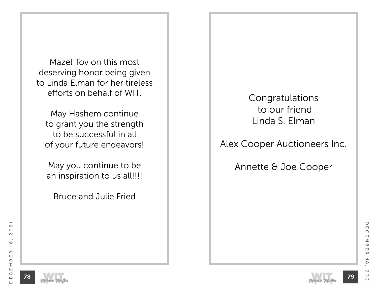Mazel Tov on this most deserving honor being given to Linda Elman for her tireless efforts on behalf of WIT.

May Hashem continue to grant you the strength to be successful in all of your future endeavors!

May you continue to be an inspiration to us all!!!!

Bruce and Julie Fried

Congratulations to our friend Linda S. Elman

Alex Cooper Auctioneers Inc.

Annette & Joe Cooper

**78**





December 18, 2021

 $\boldsymbol{\pi}$ 

 $\infty$ 

 $\circ$ 

 $\mathsf{N}$ 

 $\overline{\mathbf{w}}$ 

 $\blacksquare$ 

U

 $\blacksquare$ 

 $\Omega$ 

 $\Box$  $\leq$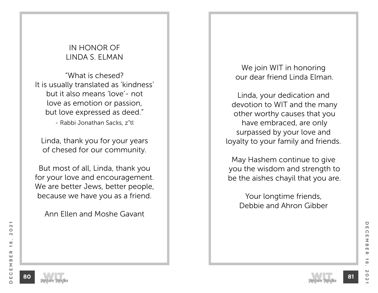# IN HONOR OF LINDA S. ELMAN

"What is chesed? It is usually translated as 'kindness' but it also means 'love'- not love as emotion or passion, but love expressed as deed." - Rabbi Jonathan Sacks, z"tl

Linda, thank you for your years of chesed for our community.

But most of all, Linda, thank you for your love and encouragement. We are better Jews, better people, because we have you as a friend.

Ann Ellen and Moshe Gavant

## We join WIT in honoring our dear friend Linda Elman.

Linda, your dedication and devotion to WIT and the many other worthy causes that you have embraced, are only surpassed by your love and loyalty to your family and friends.

May Hashem continue to give you the wisdom and strength to be the aishes chayil that you are.

Your longtime friends, Debbie and Ahron Gibber

**80**





U

 $\Box$ 

 $\Omega$ 

 $\Box$  $\leq$ 

 $\overline{\mathbf{w}}$  $\blacksquare$ 

 $\boldsymbol{\pi}$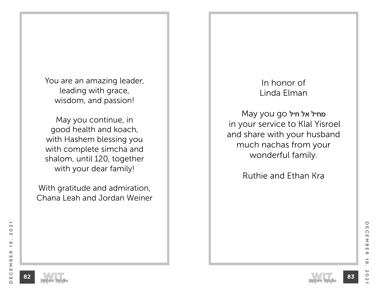You are an amazing leader, leading with grace, wisdom, and passion!

May you continue, in good health and koach, with Hashem blessing you with complete simcha and shalom, until 120, together with your dear family!

With gratitude and admiration, Chana Leah and Jordan Weiner

# In honor of Linda Elman

מחיל אל חיל go you May in your service to Klal Yisroel and share with your husband much nachas from your wonderful family.

Ruthie and Ethan Kra



December 18, 2021

 $\infty$ 

 $\mathsf{N}$ 

 $\circ$ 

 $\mathsf{N}$ 

 $\rm \pi$ 

 $\blacksquare$ 

U

 $\blacksquare$ 

 $\Omega$ 

m  $\leq$ 

 $\varpi$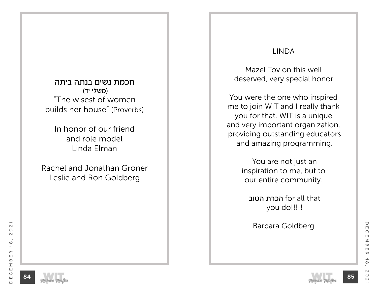חכמת נשים בנתה ביתה (משלי יד) "The wisest of women builds her house" (Proverbs)

In honor of our friend and role model Linda Elman

Rachel and Jonathan Groner Leslie and Ron Goldberg

## LINDA

Mazel Tov on this well deserved, very special honor.

You were the one who inspired me to join WIT and I really thank you for that. WIT is a unique and very important organization, providing outstanding educators and amazing programming.

> You are not just an inspiration to me, but to our entire community.

 הטוב הכרת for all that you do!!!!!

Barbara Goldberg





December 18, 2021

 $\rightarrow$ 

 $\infty$ 

 $\mathsf{N}$ 

 $\circ$ 

 $\sim$ 

 $\rm \pi$ 

 $\blacksquare$ 

 $\varpi$ 

 $\bigcirc$ 

 $\blacksquare$ 

 $\Omega$ 

 $\blacksquare$  $\leq$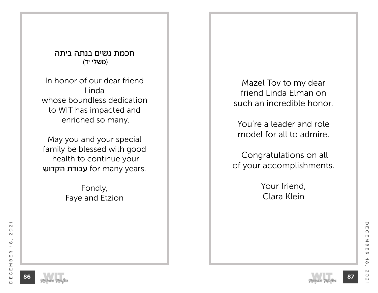חכמת נשים בנתה ביתה (משלי יד)

In honor of our dear friend Linda whose boundless dedication to WIT has impacted and enriched so many.

May you and your special family be blessed with good health to continue your עבודת הקדוש for many years.

> Fondly, Faye and Etzion

Mazel Tov to my dear friend Linda Elman on such an incredible honor.

You're a leader and role model for all to admire.

 Congratulations on all of your accomplishments.

> Your friend, Clara Klein





December 18, 2021

 $\rightarrow$ 

 $\infty$ 

 $\mathsf{N}$ 

 $\circ$ 

 $\mathsf{N}$ 

 $\rm \pi$ 

 $\blacksquare$ 

 $\bigcirc$ 

 $\blacksquare$ 

 $\Omega$ 

m  $\leq$ 

 $\varpi$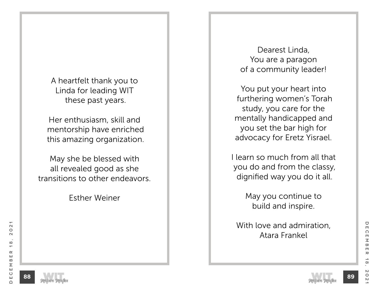A heartfelt thank you to Linda for leading WIT these past years.

Her enthusiasm, skill and mentorship have enriched this amazing organization.

May she be blessed with all revealed good as she transitions to other endeavors.

Esther Weiner

Dearest Linda, You are a paragon of a community leader!

You put your heart into furthering women's Torah study, you care for the mentally handicapped and you set the bar high for advocacy for Eretz Yisrael.

I learn so much from all that you do and from the classy, dignified way you do it all.

> May you continue to build and inspire.

With love and admiration, Atara Frankel



 $\bigcirc$ 

 $\Box$ 

 $\Omega$ 

 $\blacksquare$  $\leq$ 

 $\varpi$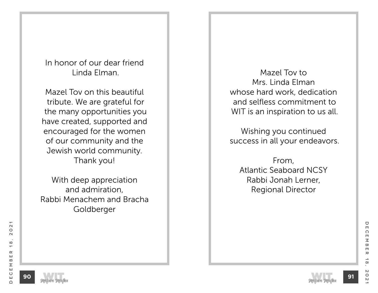In honor of our dear friend Linda Elman.

Mazel Tov on this beautiful tribute. We are grateful for the many opportunities you have created, supported and encouraged for the women of our community and the Jewish world community. Thank you!

With deep appreciation and admiration, Rabbi Menachem and Bracha Goldberger

Mazel Tov to Mrs. Linda Elman whose hard work, dedication and selfless commitment to WIT is an inspiration to us all.

Wishing you continued success in all your endeavors.

From, Atlantic Seaboard NCSY Rabbi Jonah Lerner, Regional Director

**90**





December 18, 2021

 $\rightarrow$ 

 $\infty$ 

 $\mathsf{N}$ 

 $\circ$ 

 $\overline{C}$ 

 $\rm \pi$ 

 $\blacksquare$ 

U

 $\Box$ 

 $\Omega$ 

 $\blacksquare$  $\leq$ 

 $\overline{\mathbf{w}}$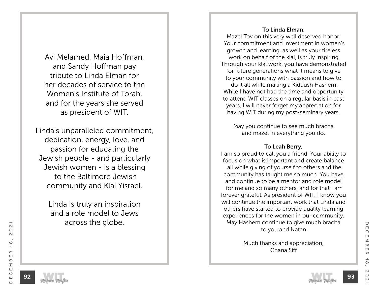Avi Melamed, Maia Hoffman, and Sandy Hoffman pay tribute to Linda Elman for her decades of service to the Women's Institute of Torah, and for the years she served as president of WIT.

Linda's unparalleled commitment, dedication, energy, love, and passion for educating the Jewish people - and particularly Jewish women - is a blessing to the Baltimore Jewish community and Klal Yisrael.

> Linda is truly an inspiration and a role model to Jews across the globe.

#### To Linda Elman,

Mazel Tov on this very well deserved honor. Your commitment and investment in women's growth and learning, as well as your tireless work on behalf of the klal, is truly inspiring. Through your klal work, you have demonstrated for future generations what it means to give to your community with passion and how to do it all while making a Kiddush Hashem. While I have not had the time and opportunity to attend WIT classes on a regular basis in past years, I will never forget my appreciation for having WIT during my post-seminary years.

May you continue to see much bracha and mazel in everything you do.

#### To Leah Berry,

I am so proud to call you a friend. Your ability to focus on what is important and create balance all while giving of yourself to others and the community has taught me so much. You have and continue to be a mentor and role model for me and so many others, and for that I am forever grateful. As president of WIT, I know you will continue the important work that Linda and others have started to provide quality learning experiences for the women in our community. May Hashem continue to give much bracha to you and Natan.

> Much thanks and appreciation, Chana Siff



 $\mathbf{\Omega}$ 

 $\circ$ 

 $\sim$ 

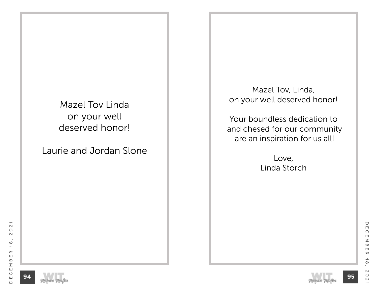Mazel Tov Linda on your well deserved honor!

Laurie and Jordan Slone

Mazel Tov, Linda, on your well deserved honor!

Your boundless dedication to and chesed for our community are an inspiration for us all!

> Love, Linda Storch

 $\overline{\phantom{0}}$ 





December 18, 2021

 $\rightharpoonup$ 

 $\infty$ 

 $\boldsymbol{\mathsf{N}}$ 

 $\circ$ 

 $\mathsf{N}$ 

 $\pmb{\pi}$ 

 $\bigcirc$ 

 $\Box$ 

 $\Omega$ 

 $\Box$  $\leq$ 

 $\varpi$ 

 $\Box$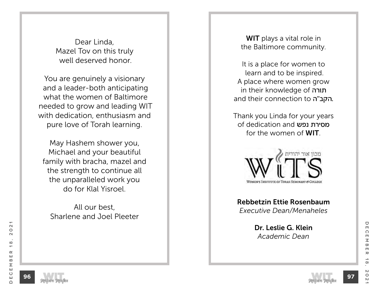Dear Linda, Mazel Tov on this truly well deserved honor.

You are genuinely a visionary and a leader-both anticipating what the women of Baltimore needed to grow and leading WIT with dedication, enthusiasm and pure love of Torah learning.

May Hashem shower you, Michael and your beautiful family with bracha, mazel and the strength to continue all the unparalleled work you do for Klal Yisroel.

All our best, Sharlene and Joel Pleeter

WIT plays a vital role in the Baltimore community.

It is a place for women to learn and to be inspired. A place where women grow in their knowledge of תורה and their connection to הקב"ה.

Thank you Linda for your years of dedication and נפש מסירת for the women of WIT.



Rebbetzin Ettie Rosenbaum *Executive Dean/Menaheles*

> Dr. Leslie G. Klein *Academic Dean*

 $\mathbf{\Omega}$ 

 $\circ$ 

 $\sim$ 

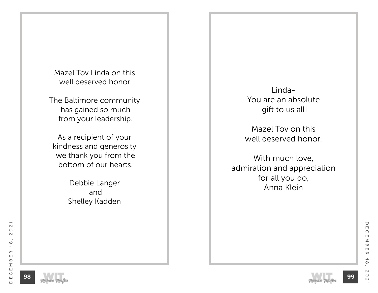Mazel Tov Linda on this well deserved honor.

The Baltimore community has gained so much from your leadership.

As a recipient of your kindness and generosity we thank you from the bottom of our hearts.

> Debbie Langer and Shelley Kadden

Linda-You are an absolute gift to us all!

Mazel Tov on this well deserved honor.

With much love, admiration and appreciation for all you do, Anna Klein





December 18, 2021

 $\rightarrow$ 

 $\infty$ 

 $\mathsf{N}\mathsf{S}$ 

 $\circ$ 

 $\mathsf{N}$ 

 $\rm \pi$ 

 $\blacksquare$ 

 $\bigcirc$ 

 $\Box$ 

 $\Omega$ 

m  $\leq$ 

 $\varpi$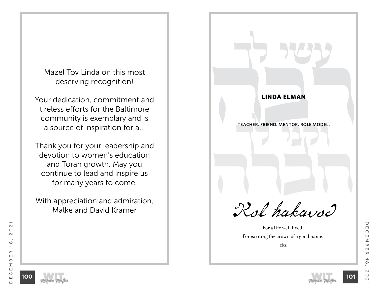Mazel Tov Linda on this most deserving recognition!

Your dedication, commitment and tireless efforts for the Baltimore community is exemplary and is a source of inspiration for all.

Thank you for your leadership and devotion to women's education and Torah growth. May you continue to lead and inspire us for many years to come.

With appreciation and admiration, Malke and David Kramer

**LINDA ELMAN**<br>TEACHER. FRIEND. MENTOR. ROLE MODEL. **TEACHER. FRIEND. MENTOR. ROLE MODEL.**<br> **TEACHER.** FRIEND.  $\sqrt{2}$ Kol hakavod

**jl iyr**

**LINDA ELMAN**

For a life well lived. For earning the crown of a good name.



 $\mathbf{\Omega}$ 

 $\circ$ 

 $\sim$ 



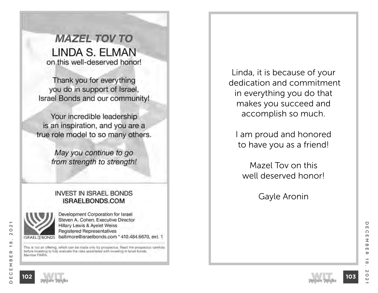**MAZEL TOV TO** LINDA S. ELMAN on this well-deserved honor!

Thank you for everything you do in support of Israel, Israel Bonds and our community!

Your incredible leadership is an inspiration, and you are a true role model to so many others.

> May you continue to go from strength to strength!

### **INVEST IN ISRAEL BONDS** ISRAELBONDS.COM



Development Corporation for Israel Steven A. Cohen, Executive Director Hillary Lewis & Ayelet Weiss Registered Representatives baltimore@israelbonds.com \* 410.484.6670, ext. 1

This is not an offering, which can be made only by prospectus. Read the prospectus camfully before investing to fully evaluate the risks associated with investing in Israel bonds. Member FINRA

Linda, it is because of your dedication and commitment in everything you do that makes you succeed and accomplish so much.

I am proud and honored to have you as a friend!

Mazel Tov on this well deserved honor!

Gayle Aronin



December 18, 2021

 $\boldsymbol{\pi}$ 

 $\infty$ 

 $\circ$ 

 $\mathsf{N}$ 

U

 $\Box$ 

 $\Omega$ 

 $\Box$ 

 $\leq$ 

 $\overline{\mathbf{w}}$ 

 $\Box$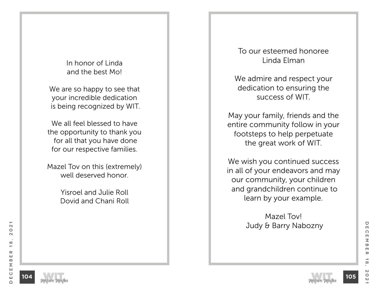In honor of Linda and the best Mo!

We are so happy to see that your incredible dedication is being recognized by WIT.

We all feel blessed to have the opportunity to thank you for all that you have done for our respective families.

Mazel Tov on this (extremely) well deserved honor.

> Yisroel and Julie Roll Dovid and Chani Roll

To our esteemed honoree Linda Elman

We admire and respect your dedication to ensuring the success of WIT.

May your family, friends and the entire community follow in your footsteps to help perpetuate the great work of WIT.

We wish you continued success in all of your endeavors and may our community, your children and grandchildren continue to learn by your example.

> Mazel Tov! Judy & Barry Nabozny



December 18, 2021

 $\infty$ 

 $\circ$ 

 $\mathsf{N}$ 

 $\rm \pi$ 

 $\blacksquare$ 

 $\bigcirc$ 

 $\Box$ 

 $\Omega$ 

 $\blacksquare$  $\leq$ 

 $\varpi$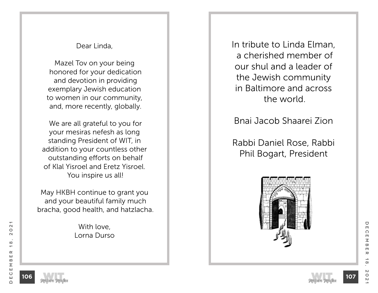### Dear Linda,

Mazel Tov on your being honored for your dedication and devotion in providing exemplary Jewish education to women in our community, and, more recently, globally.

 We are all grateful to you for your mesiras nefesh as long standing President of WIT, in addition to your countless other outstanding efforts on behalf of Klal Yisroel and Eretz Yisroel. You inspire us all!

May HKBH continue to grant you and your beautiful family much bracha, good health, and hatzlacha.

> With love, Lorna Durso

In tribute to Linda Elman, a cherished member of our shul and a leader of the Jewish community in Baltimore and across the world.

Bnai Jacob Shaarei Zion

Rabbi Daniel Rose, Rabbi Phil Bogart, President



U

 $\Box$ 

 $\mathbf{\Omega}$ 

 $\circ$ 

 $\sim$ 

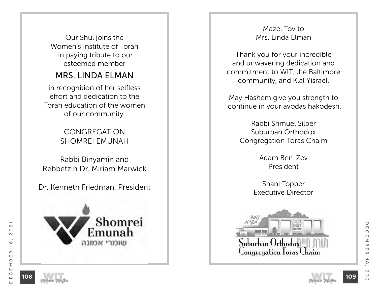Our Shul joins the Women's Institute of Torah in paying tribute to our esteemed member

# MRS. LINDA ELMAN

in recognition of her selfless effort and dedication to the Torah education of the women of our community.

> **CONGREGATION** SHOMREI EMUNAH

Rabbi Binyamin and Rebbetzin Dr. Miriam Marwick

Dr. Kenneth Friedman, President



**108**

Mazel Tov to Mrs. Linda Elman

Thank you for your incredible and unwavering dedication and commitment to WIT, the Baltimore community, and Klal Yisrael.

May Hashem give you strength to continue in your avodas hakodesh.

> Rabbi Shmuel Silber Suburban Orthodox Congregation Toras Chaim

> > Adam Ben-Zev President

Shani Topper Executive Director



 $\bigcirc$ 

 $\Box$ 

 $\Omega$ 

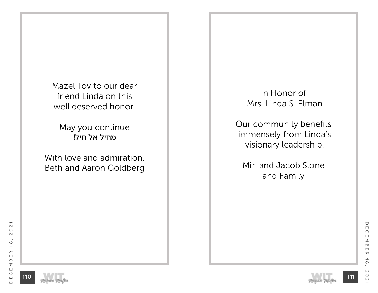Mazel Tov to our dear friend Linda on this well deserved honor.

May you continue מחיל אל חיל!

With love and admiration, Beth and Aaron Goldberg

In Honor of Mrs. Linda S. Elman

Our community benefits immensely from Linda's visionary leadership.

Miri and Jacob Slone and Family





December 18, 2021

 $\rightarrow$ 

 $\infty$ 

 $\boldsymbol{\mathsf{N}}$ 

 $\circ$ 

 $\mathsf{N}$ 

 $\pmb{\pi}$ 

 $\bigcirc$ 

 $\Box$ 

 $\Omega$ 

 $\Box$  $\leq$ 

 $\varpi$ 

 $\Box$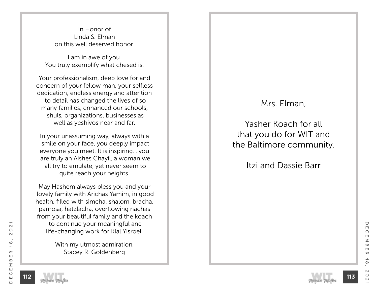In Honor of Linda S. Elman on this well deserved honor.

I am in awe of you. You truly exemplify what chesed is.

Your professionalism, deep love for and concern of your fellow man, your selfless dedication, endless energy and attention to detail has changed the lives of so many families, enhanced our schools, shuls, organizations, businesses as well as yeshivos near and far.

In your unassuming way, always with a smile on your face, you deeply impact everyone you meet. It is inspiring….you are truly an Aishes Chayil, a woman we all try to emulate, yet never seem to quite reach your heights.

May Hashem always bless you and your lovely family with Arichas Yamim, in good health, filled with simcha, shalom, bracha, parnosa, hatzlacha, overflowing nachas from your beautiful family and the koach to continue your meaningful and life-changing work for Klal Yisroel.

> With my utmost admiration, Stacey R. Goldenberg

# Mrs. Elman,

Yasher Koach for all that you do for WIT and the Baltimore community.

Itzi and Dassie Barr

**113**



December 18, 2021

 $\alpha$ 

ш

 $\Omega$ 

Σ Ш

 $\circ$ 

ш

 $\cap$ 

 $\mathbf{\Omega}$ 

 $\circ$ 

 $\sim$ 

 $\infty$ 

 $\overline{\phantom{0}}$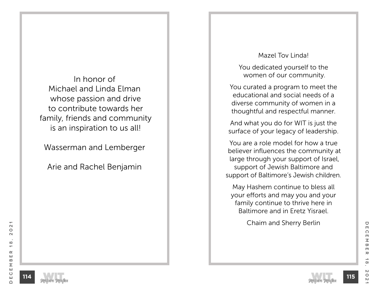In honor of Michael and Linda Elman whose passion and drive to contribute towards her family, friends and community is an inspiration to us all!

Wasserman and Lemberger

Arie and Rachel Benjamin

#### Mazel Tov Linda!

You dedicated yourself to the women of our community.

You curated a program to meet the educational and social needs of a diverse community of women in a thoughtful and respectful manner.

And what you do for WIT is just the surface of your legacy of leadership.

You are a role model for how a true believer influences the community at large through your support of Israel, support of Jewish Baltimore and support of Baltimore's Jewish children.

May Hashem continue to bless all your efforts and may you and your family continue to thrive here in Baltimore and in Eretz Yisrael.

Chaim and Sherry Berlin



U

 $\Box$ 

 $\Omega$ 

 $\blacksquare$  $\leq$ 

 $\overline{\mathbf{w}}$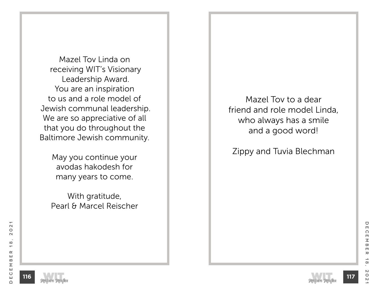Mazel Tov Linda on receiving WIT's Visionary Leadership Award. You are an inspiration to us and a role model of Jewish communal leadership. We are so appreciative of all that you do throughout the Baltimore Jewish community.

> May you continue your avodas hakodesh for many years to come.

With gratitude, Pearl & Marcel Reischer

Mazel Tov to a dear friend and role model Linda, who always has a smile and a good word!

Zippy and Tuvia Blechman





December 18, 2021

 $\rightarrow$ 

 $\infty$ 

 $\mathsf{N}$ 

 $\circ$ 

 $\overline{C}$ 

 $\rm \pi$ 

 $\blacksquare$ 

U

 $\blacksquare$ 

 $\Omega$ 

 $\blacksquare$  $\leq$ 

 $\overline{\mathbf{w}}$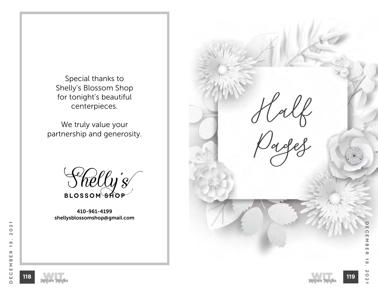Special thanks to Shelly's Blossom Shop for tonight's beautiful centerpieces.

We truly value your partnership and generosity.



410-961-4199 shellysblossomshop@gmail.com



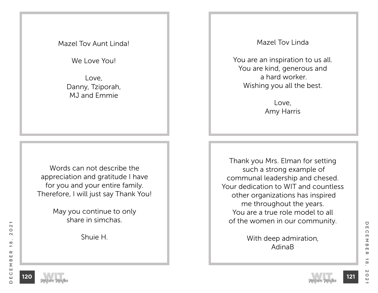### Mazel Tov Aunt Linda!

We Love You!

Love, Danny, Tziporah, MJ and Emmie

Words can not describe the appreciation and gratitude I have for you and your entire family. Therefore, I will just say Thank You!

> May you continue to only share in simchas.

> > Shuie H.

Mazel Tov Linda

You are an inspiration to us all. You are kind, generous and a hard worker. Wishing you all the best.

> Love, Amy Harris

Thank you Mrs. Elman for setting such a strong example of communal leadership and chesed. Your dedication to WIT and countless other organizations has inspired me throughout the years. You are a true role model to all of the women in our community.

> With deep admiration, AdinaB

December 18, 2021

 $\alpha$ 

ш

 $\Omega$ 

Σ Ш

 $\circ$ 

ш

 $\cap$ 

 $\mathbf{\Omega}$ 

 $\circ$ 

 $\sim$ 

 $\infty$ 

 $\overline{\phantom{0}}$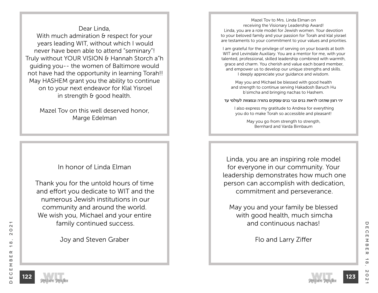Dear Linda, With much admiration & respect for your years leading WIT, without which I would never have been able to attend "seminary"! Truly without YOUR VISION & Hannah Storch a"h guiding you-- the women of Baltimore would not have had the opportunity in learning Torah!! May HASHEM grant you the ability to continue on to your next endeavor for Klal Yisroel in strength & good health.

> Mazel Tov on this well deserved honor, Marge Edelman

### In honor of Linda Elman

Thank you for the untold hours of time and effort you dedicate to WIT and the numerous Jewish institutions in our community and around the world. We wish you, Michael and your entire family continued success.

Joy and Steven Graber

Mazel Tov to Mrs. Linda Elman on receiving the Visionary Leadership Award! Linda, you are a role model for Jewish women. Your devotion to your beloved family and your passion for Torah and klal yisrael are testaments to your commitment to your values and priorities.

I am grateful for the privilege of serving on your boards at both WIT and Levindale Auxiliary. You are a mentor for me, with your talented, professional, skilled leadership combined with warmth, grace and charm. You cherish and value each board member, and empower us to develop our unique strengths and skills. I deeply appreciate your guidance and wisdom.

May you and Michael be blessed with good health and strength to continue serving Hakadosh Baruch Hu b'simcha and bringing nachas to Hashem.

יהי רצון שתזכו לראות בנים ובני בנים עוסקים בתורה ובמצוות לעולמי עד

 I also express my gratitude to Andrea for everything you do to make Torah so accessible and pleasant!

> May you go from strength to strength, Bernhard and Varda Birnbaum

Linda, you are an inspiring role model for everyone in our community. Your leadership demonstrates how much one person can accomplish with dedication, commitment and perseverance.

May you and your family be blessed with good health, much simcha and continuous nachas!

Flo and Larry Ziffer

 $\mathbf{\Omega}$ 

 $\circ$ 

 $\sim$ 

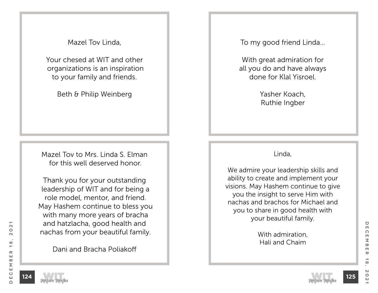Mazel Tov Linda,

Your chesed at WIT and other organizations is an inspiration to your family and friends.

Beth & Philip Weinberg

Mazel Tov to Mrs. Linda S. Elman for this well deserved honor.

Thank you for your outstanding leadership of WIT and for being a role model, mentor, and friend. May Hashem continue to bless you with many more years of bracha and hatzlacha, good health and nachas from your beautiful family.

Dani and Bracha Poliakoff

To my good friend Linda…

With great admiration for all you do and have always done for Klal Yisroel.

> Yasher Koach, Ruthie Ingber

### Linda,

We admire your leadership skills and ability to create and implement your visions. May Hashem continue to give you the insight to serve Him with nachas and brachos for Michael and you to share in good health with your beautiful family.

> With admiration, Hali and Chaim

 $\mathbf{\Omega}$ 

 $\circ$ 

 $\sim$ 

 $\infty$ 

 $\overline{\phantom{0}}$ 

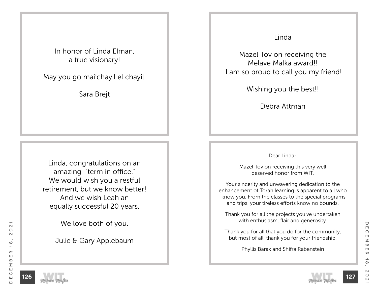In honor of Linda Elman, a true visionary!

May you go mai'chayil el chayil.

Sara Brejt

Linda, congratulations on an amazing "term in office." We would wish you a restful retirement, but we know better! And we wish Leah an equally successful 20 years.

We love both of you.

Julie & Gary Applebaum

### Linda

Mazel Tov on receiving the Melave Malka award!! I am so proud to call you my friend!

Wishing you the best!!

Debra Attman

Dear Linda-

Mazel Tov on receiving this very well deserved honor from WIT.

Your sincerity and unwavering dedication to the enhancement of Torah learning is apparent to all who know you. From the classes to the special programs and trips, your tireless efforts know no bounds.

Thank you for all the projects you've undertaken with enthusiasm, flair and generosity.

Thank you for all that you do for the community, but most of all, thank you for your friendship.

Phyllis Barax and Shifra Rabenstein

**127**

 $\mathbf{\Omega}$ 

 $\circ$ 

 $\sim$ 

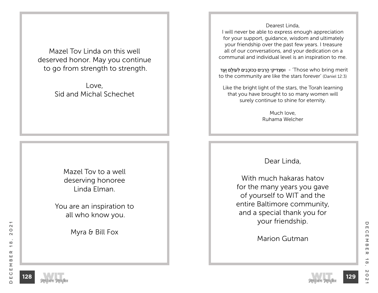Mazel Tov Linda on this well deserved honor. May you continue to go from strength to strength.

> Love, Sid and Michal Schechet

> > Mazel Tov to a well deserving honoree Linda Elman.

You are an inspiration to all who know you.

Myra & Bill Fox

Dearest Linda,

I will never be able to express enough appreciation for your support, guidance, wisdom and ultimately your friendship over the past few years. I treasure all of our conversations, and your dedication on a communal and individual level is an inspiration to me.

ימצִ דִּיקִי הרִבּים כּכּוֹכִבים לְעוֹלִם וַעַד - Those who bring merit to the community are like the stars forever' (Daniel 12:3)

Like the bright light of the stars, the Torah learning that you have brought to so many women will surely continue to shine for eternity.

> Much love, Ruhama Welcher

Dear Linda,

With much hakaras hatov for the many years you gave of yourself to WIT and the entire Baltimore community, and a special thank you for your friendship.

Marion Gutman

**129**

 $\mathbf{\Omega}$ 

 $\circ$ 

 $\sim$ 

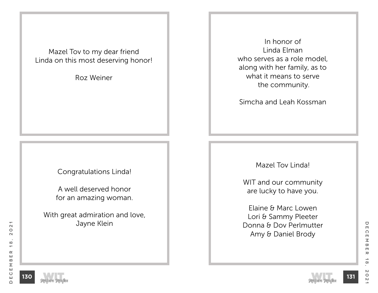Mazel Tov to my dear friend Linda on this most deserving honor!

Roz Weiner

Congratulations Linda!

A well deserved honor for an amazing woman.

With great admiration and love, Jayne Klein

In honor of Linda Elman who serves as a role model, along with her family, as to what it means to serve the community.

Simcha and Leah Kossman

Mazel Tov Linda!

WIT and our community are lucky to have you.

Elaine & Marc Lowen Lori & Sammy Pleeter Donna & Dov Perlmutter Amy & Daniel Brody



December 18, 2021

 $\rightarrow$ 

 $\infty$ 

 $\mathsf{N}$ 

 $\circ$ 

 $\mathsf{N}$ 

 $\rm \pi$ 

 $\hbox{\large\bf C}$ 

 $\Box$ 

 $\Omega$ 

 $\Box$  $\leq$ 

 $\varpi$ 

 $\blacksquare$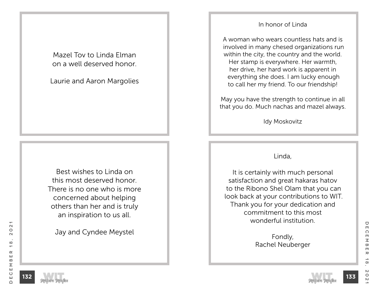Mazel Tov to Linda Elman on a well deserved honor.

Laurie and Aaron Margolies

Best wishes to Linda on this most deserved honor. There is no one who is more concerned about helping others than her and is truly an inspiration to us all.

Jay and Cyndee Meystel

#### In honor of Linda

A woman who wears countless hats and is involved in many chesed organizations run within the city, the country and the world. Her stamp is everywhere. Her warmth, her drive, her hard work is apparent in everything she does. I am lucky enough to call her my friend. To our friendship!

May you have the strength to continue in all that you do. Much nachas and mazel always.

Idy Moskovitz

#### Linda,

It is certainly with much personal satisfaction and great hakaras hatov to the Ribono Shel Olam that you can look back at your contributions to WIT. Thank you for your dedication and commitment to this most wonderful institution.

> Fondly, Rachel Neuberger

 $\mathbf{\Omega}$ 

 $\circ$ 

 $\sim$ 



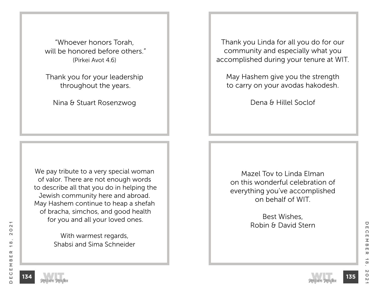"Whoever honors Torah, will be honored before others." (Pirkei Avot 4.6)

Thank you for your leadership throughout the years.

Nina & Stuart Rosenzwog

We pay tribute to a very special woman of valor. There are not enough words to describe all that you do in helping the Jewish community here and abroad. May Hashem continue to heap a shefah of bracha, simchos, and good health for you and all your loved ones.

> With warmest regards, Shabsi and Sima Schneider

Thank you Linda for all you do for our community and especially what you accomplished during your tenure at WIT.

May Hashem give you the strength to carry on your avodas hakodesh.

Dena & Hillel Soclof

Mazel Tov to Linda Elman on this wonderful celebration of everything you've accomplished on behalf of WIT.

> Best Wishes, Robin & David Stern

**135**

 $\mathbf{\Omega}$ 

 $\circ$ 

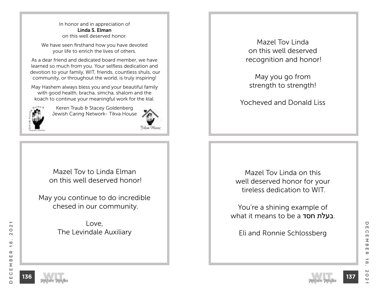In honor and in appreciation of Linda S. Elman on this well deserved honor.

We have seen firsthand how you have devoted your life to enrich the lives of others.

As a dear friend and dedicated board member, we have learned so much from you. Your selfless dedication and devotion to your family, WIT, friends, countless shuls, our community, or throughout the world, is truly inspiring!

May Hashem always bless you and your beautiful family with good health, bracha, simcha, shalom and the koach to continue your meaningful work for the klal.



Keren Traub & Stacey Goldenberg Jewish Caring Network- Tikva House



Mazel Tov to Linda Elman on this well deserved honor!

May you continue to do incredible chesed in our community.

> Love, The Levindale Auxiliary

Mazel Tov Linda on this well deserved recognition and honor!

May you go from strength to strength!

Yocheved and Donald Liss

Mazel Tov Linda on this well deserved honor for your tireless dedication to WIT.

You're a shining example of what it means to be a חסד בעלת.

Eli and Ronnie Schlossberg



December 18, 2021

 $\rightarrow$ 

 $\infty$ 

 $\mathsf{N}$ 

 $\circ$ 

 $\mathsf{N}$ 

 $\rm \pi$ 

 $\blacksquare$ 

U

 $\Box$ 

 $\Omega$ 

 $\blacksquare$  $\leq$ 

 $\overline{\mathbf{w}}$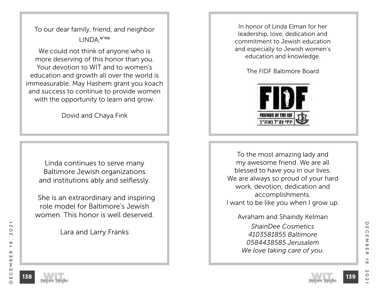To our dear family, friend, and neighbor עמו''ש,LINDA

We could not think of anyone who is more deserving of this honor than you. Your devotion to WIT and to women's education and growth all over the world is immeasurable. May Hashem grant you koach and success to continue to provide women with the opportunity to learn and grow.

Dovid and Chaya Fink

Linda continues to serve many Baltimore Jewish organizations and institutions ably and selflessly.

 She is an extraordinary and inspiring role model for Baltimore's Jewish women. This honor is well deserved.

Lara and Larry Franks

In honor of Linda Elman for her leadership, love, dedication and commitment to Jewish education and especially to Jewish women's education and knowledge.

The FIDF Baltimore Board



To the most amazing lady and my awesome friend. We are all blessed to have you in our lives. We are always so proud of your hard work, devotion, dedication and accomplishments. I want to be like you when I grow up.

Avraham and Shaindy Kelman *ShainDee Cosmetics 4103581855 Baltimore 0584438585 Jerusalem We love taking care of you.* 



 $\mathbf{\Omega}$ 

 $\circ$ 

 $\sim$ 

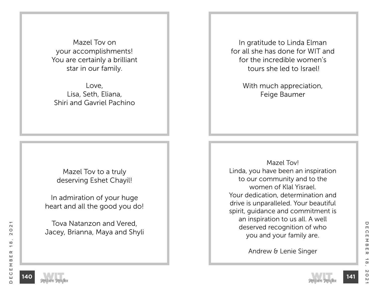Mazel Tov on your accomplishments! You are certainly a brilliant star in our family.

Love, Lisa, Seth, Eliana, Shiri and Gavriel Pachino

In gratitude to Linda Elman for all she has done for WIT and for the incredible women's tours she led to Israel!

> With much appreciation, Feige Baumer

Mazel Tov to a truly deserving Eshet Chayil!

In admiration of your huge heart and all the good you do!

Tova Natanzon and Vered, Jacey, Brianna, Maya and Shyli

Mazel Tov! Linda, you have been an inspiration to our community and to the women of Klal Yisrael. Your dedication, determination and drive is unparalleled. Your beautiful spirit, guidance and commitment is an inspiration to us all. A well deserved recognition of who you and your family are.

Andrew & Lenie Singer

**141**

 $\mathbf{\Omega}$ 

 $\circ$ 

 $\sim$ 

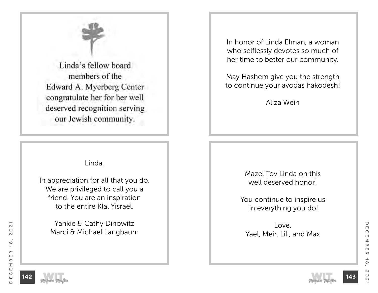

# Linda,

In appreciation for all that you do. We are privileged to call you a friend. You are an inspiration to the entire Klal Yisrael.

Yankie & Cathy Dinowitz Marci & Michael Langbaum In honor of Linda Elman, a woman who selflessly devotes so much of her time to better our community.

May Hashem give you the strength to continue your avodas hakodesh!

Aliza Wein

Mazel Tov Linda on this well deserved honor!

You continue to inspire us in everything you do!

Love, Yael, Meir, Lili, and Max



December 18, 2021

 $\infty$ 

 $\circ$ 

 $\mathsf{N}$ 

 $\rm \pi$ 

 $\blacksquare$ 

U

 $\blacksquare$ 

 $\Omega$ 

 $\blacksquare$  $\leq$ 

 $\infty$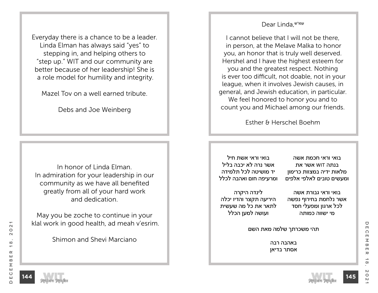Everyday there is a chance to be a leader. Linda Elman has always said "yes" to stepping in, and helping others to "step up." WIT and our community are better because of her leadership! She is a role model for humility and integrity.

Mazel Tov on a well earned tribute.

Debs and Joe Weinberg

In honor of Linda Elman. In admiration for your leadership in our community as we have all benefited greatly from all of your hard work and dedication.

May you be zoche to continue in your klal work in good health, ad meah v'esrim.

Shimon and Shevi Marciano

### Dear Linda.
<sup>שמו"ש</sup>

I cannot believe that I will not be there, in person, at the Melave Malka to honor you, an honor that is truly well deserved. Hershel and I have the highest esteem for you and the greatest respect. Nothing is ever too difficult, not doable, not in your league, when it involves Jewish causes, in general, and Jewish education, in particular. We feel honored to honor you and to count you and Michael among our friends.

Esther & Herschel Boehm

בואי וראי אשת חיל אשר נרה לא יכבה בליל יד מושיטה לכל תלמידה ומרעיפה חום ואהבה לכלל

בואי וראי חכמת אשה בנתה WIT אשר את מלאות ידיה במצוות כרימון ומעשים טובים לאלפי אלפים

לינדה היקרה היריעה תקצר והדיו יכלה לתאר את כל מה שעשית ועושה למען הכלל

בואי וראי גבורת אשה אשר נלחמת בחירוף נפשה לכל ארגון ומפעלי חסד מי ישווה כמותה

תהי משכרתך שלמה מאת השם

באהבה רבה אסתר בדיאן

 $\mathbf{\Omega}$ 

 $\circ$ 

 $\sim$ 

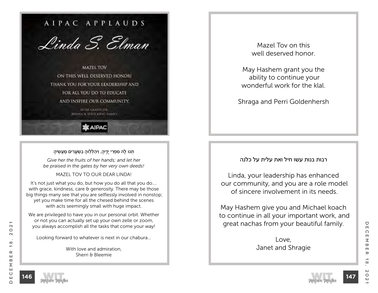

**KAIPAC** 

#### ְתֵנוּ לָה מִפְרִי יִדִיה, ויהַלְלוּה בַשִּׂעַרִים מַעַשִּׂיה

*Give her the fruits of her hands; and let her be praised in the gates by her very own deeds!*

MAZEL TOV TO OUR DEAR LINDA!

It's not just what you do, but how you do all that you do.... with grace, kindness, care & generosity. There may be those big things many see that you are selflessly involved in nonstop; yet you make time for all the chesed behind the scenes with acts seemingly small with huge impact.

We are privileged to have you in our personal orbit. Whether or not you can actually set up your own zelle or zoom, you always accomplish all the tasks that come your way!

Looking forward to whatever is next in our chabura...

With love and admiration, Sherri & Bleemie

Mazel Tov on this well deserved honor.

May Hashem grant you the ability to continue your wonderful work for the klal.

Shraga and Perri Goldenhersh

#### רבות בנות עשו חיל ואת עלית על כלנה

Linda, your leadership has enhanced our community, and you are a role model of sincere involvement in its needs.

May Hashem give you and Michael koach to continue in all your important work, and great nachas from your beautiful family.

> Love, Janet and Shragie

 $\mathbf{\Omega}$ 

 $\circ$ 

 $\sim$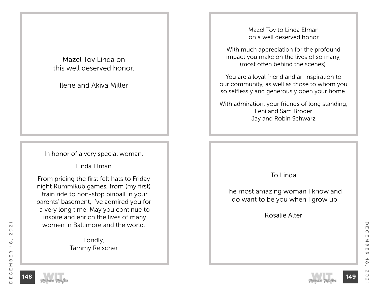Mazel Tov Linda on this well deserved honor.

Ilene and Akiva Miller

In honor of a very special woman,

Linda Elman

From pricing the first felt hats to Friday night Rummikub games, from (my first) train ride to non-stop pinball in your parents' basement, I've admired you for a very long time. May you continue to inspire and enrich the lives of many women in Baltimore and the world.

> Fondly, Tammy Reischer

Mazel Tov to Linda Elman on a well deserved honor.

With much appreciation for the profound impact you make on the lives of so many, (most often behind the scenes).

You are a loyal friend and an inspiration to our community, as well as those to whom you so selflessly and generously open your home.

With admiration, your friends of long standing, Leni and Sam Broder Jay and Robin Schwarz

## To Linda

The most amazing woman I know and I do want to be you when I grow up.

Rosalie Alter

**148**

December 18, 2021

 $\rightarrow$ 

 $\infty$ 

 $\mathsf{N}$ 

 $\circ$ 

 $\mathsf{N}$ 

 $\rm \pi$ 

U

 $\Box$ 

 $\Omega$ 

 $\blacksquare$  $\leq$ 

 $\overline{\mathbf{w}}$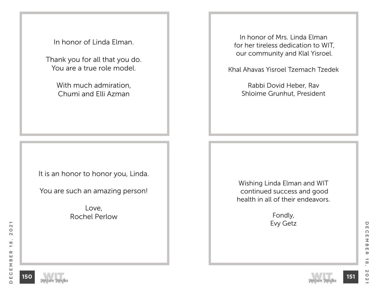In honor of Linda Elman.

Thank you for all that you do. You are a true role model.

> With much admiration, Chumi and Elli Azman

It is an honor to honor you, Linda.

You are such an amazing person!

Love, Rochel Perlow

In honor of Mrs. Linda Elman for her tireless dedication to WIT, our community and Klal Yisroel.

Khal Ahavas Yisroel Tzemach Tzedek

Rabbi Dovid Heber, Rav Shloime Grunhut, President

Wishing Linda Elman and WIT continued success and good health in all of their endeavors.

> Fondly, Evy Getz

 $\mathbf{\Omega}$ 

 $\circ$ 

 $\sim$ 

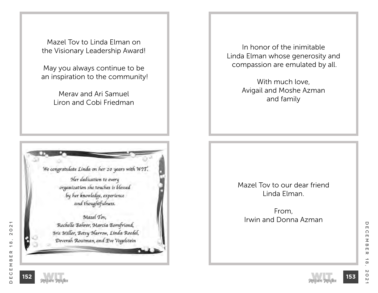Mazel Tov to Linda Elman on the Visionary Leadership Award!

May you always continue to be an inspiration to the community!

> Merav and Ari Samuel Liron and Cobi Friedman



In honor of the inimitable Linda Elman whose generosity and compassion are emulated by all.

> With much love, Avigail and Moshe Azman and family

Mazel Tov to our dear friend Linda Elman.

From, Irwin and Donna Azman

**152**

December 18, 2021

 $\rightarrow$ 

 $\infty$ 

 $\mathsf{N}$ 

 $\circ$ 

 $\mathsf{N}$ 

 $\rm \pi$ 

U

 $\Box$ 

 $\Omega$ 

 $\blacksquare$ 

 $\leq$ 

 $\varpi$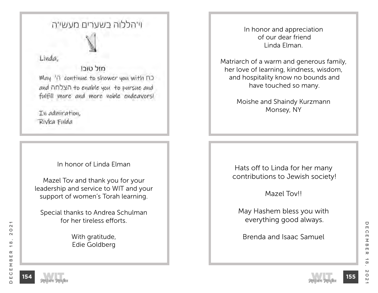# וי'הללוה בשערים מעשי'ה

Linda,

חזל טורו May 'n continue to shower you with no and  $n$ Evalue you to pursue and fulfill more and more noble endeavors!

In admiration, Rivka Fulda

# In honor of Linda Elman

Mazel Tov and thank you for your leadership and service to WIT and your support of women's Torah learning.

Special thanks to Andrea Schulman for her tireless efforts.

> With gratitude, Edie Goldberg

In honor and appreciation of our dear friend Linda Elman.

Matriarch of a warm and generous family, her love of learning, kindness, wisdom, and hospitality know no bounds and have touched so many.

> Moishe and Shaindy Kurzmann Monsey, NY

Hats off to Linda for her many contributions to Jewish society!

Mazel Tov!!

May Hashem bless you with everything good always.

Brenda and Isaac Samuel



December 18, 2021

 $\rightarrow$ 

 $\infty$ 

 $\circ$ 

 $\mathsf{N}$ 

 $\rm \pi$ 

 $\bigcirc$ 

 $\Box$ 

 $\Omega$ 

 $\blacksquare$  $\leq$ 

 $\infty$  $\Box$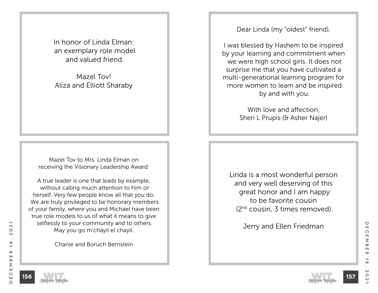In honor of Linda Elman: an exemplary role model and valued friend.

Mazel Tov! Aliza and Elliott Sharaby

Mazel Tov to Mrs. Linda Elman on receiving the Visionary Leadership Award.

A true leader is one that leads by example, without calling much attention to him or herself. Very few people know all that you do. We are truly privileged to be honorary members of your family, where you and Michael have been true role models to us of what it means to give selflessly to your community and to others. May you go m'chayil el chayil.

Chanie and Boruch Bernstein

Dear Linda (my "oldest" friend),

I was blessed by Hashem to be inspired by your learning and commitment when we were high school girls. It does not surprise me that you have cultivated a multi-generational learning program for more women to learn and be inspired by and with you.

> With love and affection, Sheri L Prupis (& Asher Najer)

Linda is a most wonderful person and very well deserving of this great honor and I am happy to be favorite cousin (2nd cousin, 3 times removed).

Jerry and Ellen Friedman

**156**



December 18, 2021

 $\rightarrow$ 

 $\infty$ 

 $\mathsf{N}$ 

 $\circ$ 

 $\mathsf{N}$ 

 $\rm \pi$ 

 $\bigcirc$ 

 $\Box$ 

 $\Omega$ 

 $\blacksquare$  $\leq$ 

 $\infty$  $\Box$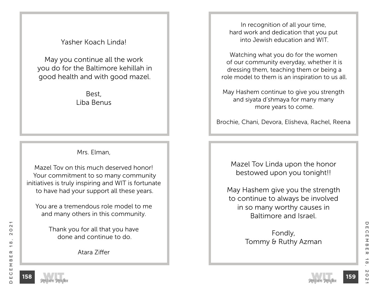Yasher Koach Linda!

May you continue all the work you do for the Baltimore kehillah in good health and with good mazel.

> Best, Liba Benus

## Mrs. Elman,

Mazel Tov on this much deserved honor! Your commitment to so many community initiatives is truly inspiring and WIT is fortunate to have had your support all these years.

You are a tremendous role model to me and many others in this community.

> Thank you for all that you have done and continue to do.

> > Atara Ziffer

In recognition of all your time, hard work and dedication that you put into Jewish education and WIT.

Watching what you do for the women of our community everyday, whether it is dressing them, teaching them or being a role model to them is an inspiration to us all.

May Hashem continue to give you strength and siyata d'shmaya for many many more years to come.

Brochie, Chani, Devora, Elisheva, Rachel, Reena

Mazel Tov Linda upon the honor bestowed upon you tonight!!

May Hashem give you the strength to continue to always be involved in so many worthy causes in Baltimore and Israel.

> Fondly, Tommy & Ruthy Azman

 $\mathbf{\Omega}$ 

 $\circ$ 

 $\sim$ 

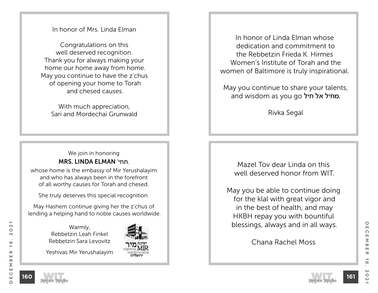## In honor of Mrs. Linda Elman

Congratulations on this well deserved recognition. Thank you for always making your home our home away from home. May you continue to have the z'chus of opening your home to Torah and chesed causes.

With much appreciation, Sari and Mordechai Grunwald

# We join in honoring MRS. LINDA ELMAN 'תחי,

whose home is the embassy of Mir Yerushalayim and who has always been in the forefront of all worthy causes for Torah and chesed.

She truly deserves this special recognition.

May Hashem continue giving her the z'chus of lending a helping hand to noble causes worldwide.

> Warmly, Rebbetzin Leah Finkel Rebbetzin Sara Levovitz

Yeshivas Mir Yerushalayim



In honor of Linda Elman whose dedication and commitment to the Rebbetzin Frieda K. Hirmes Women's Institute of Torah and the women of Baltimore is truly inspirational.

 May you continue to share your talents, and wisdom as you go מחיל אל חיל ס

Rivka Segal

Mazel Tov dear Linda on this well deserved honor from WIT.

May you be able to continue doing for the klal with great vigor and in the best of health, and may HKBH repay you with bountiful blessings, always and in all ways.

Chana Rachel Moss

**161**

December 18, 2021

 $\alpha$ 

ш

 $\mathbf{m}$ 

Σ Ш

 $\circ$ 

ш

 $\cap$ 

 $\mathbf{\Omega}$ 

 $\circ$ 

 $\sim$ 

 $\infty$ 

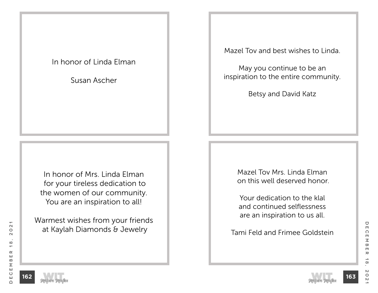# In honor of Linda Elman

Susan Ascher

In honor of Mrs. Linda Elman for your tireless dedication to the women of our community. You are an inspiration to all!

Warmest wishes from your friends at Kaylah Diamonds & Jewelry

Mazel Tov and best wishes to Linda.

May you continue to be an inspiration to the entire community.

Betsy and David Katz

Mazel Tov Mrs. Linda Elman on this well deserved honor.

Your dedication to the klal and continued selflessness are an inspiration to us all.

Tami Feld and Frimee Goldstein

 $\overline{\phantom{0}}$ 



December 18, 2021

 $\rightarrow$ 

 $\infty$ 

 $\circ$ 

 $\sim$ 

 $\rm \pi$ 

 $\bigcirc$ 

 $\blacksquare$ 

 $\Omega$ 

 $\blacksquare$  $\leq$ 

 $\overline{\mathbf{w}}$ 

 $\blacksquare$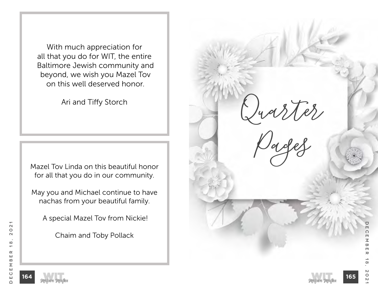With much appreciation for all that you do for WIT, the entire Baltimore Jewish community and beyond, we wish you Mazel Tov on this well deserved honor.

Ari and Tiffy Storch

Mazel Tov Linda on this beautiful honor for all that you do in our community.

May you and Michael continue to have nachas from your beautiful family.

A special Mazel Tov from Nickie!

Chaim and Toby Pollack

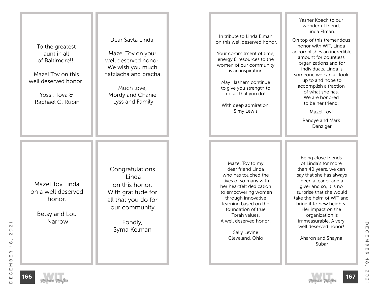| To the greatest<br>aunt in all<br>of Baltimore!!!<br>Mazel Toy on this<br>well deserved honor!<br>Yossi, Tova &<br>Raphael G. Rubin | Dear Savta Linda,<br>Mazel Tov on your<br>well deserved honor.<br>We wish you much<br>hatzlacha and bracha!<br>Much love,<br>Mordy and Chanie<br>Lyss and Family | In tribute to Linda Elman<br>on this well deserved honor.<br>Your commitment of time,<br>energy & resources to the<br>women of our community<br>is an inspiration.<br>May Hashem continue<br>to give you strength to<br>do all that you do!<br>With deep admiration,<br>Simy Lewis         | Yasher Koach to our<br>wonderful friend,<br>Linda Elman.<br>On top of this tremendous<br>honor with WIT, Linda<br>accomplishes an incredible<br>amount for countless<br>organizations and for<br>individuals. Linda is<br>someone we can all look<br>up to and hope to<br>accomplish a fraction<br>of what she has.<br>We are honored<br>to be her friend.<br>Mazel Tov!<br>Randye and Mark<br>Danziger |
|-------------------------------------------------------------------------------------------------------------------------------------|------------------------------------------------------------------------------------------------------------------------------------------------------------------|--------------------------------------------------------------------------------------------------------------------------------------------------------------------------------------------------------------------------------------------------------------------------------------------|---------------------------------------------------------------------------------------------------------------------------------------------------------------------------------------------------------------------------------------------------------------------------------------------------------------------------------------------------------------------------------------------------------|
| Mazel Toy Linda<br>on a well deserved<br>honor.<br>Betsy and Lou<br>Narrow                                                          | Congratulations<br>Linda<br>on this honor.<br>With gratitude for<br>all that you do for<br>our community.<br>Fondly,<br>Syma Kelman                              | Mazel Tov to my<br>dear friend Linda<br>who has touched the<br>lives of so many with<br>her heartfelt dedication<br>to empowering women<br>through innovative<br>learning based on the<br>foundation of true<br>Torah values.<br>A well deserved honor!<br>Sally Levine<br>Cleveland, Ohio | Being close friends<br>of Linda's for more<br>than 40 years, we can<br>say that she has always<br>been a leader and a<br>giver and so, it is no<br>surprise that she would<br>take the helm of WIT and<br>bring it to new heights.<br>Her impact on the<br>organization is<br>immeasurable. A very<br>well deserved honor!<br>Aharon and Shayna<br>Subar                                                |



 $18,$ 

 $2021$ 

DECEMBER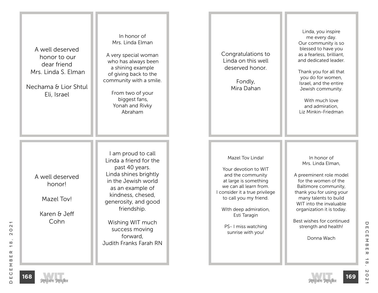| A well deserved<br>honor to our<br>dear friend<br>Mrs. Linda S. Elman<br>Nechama & Lior Shtul<br>Eli, Israel | In honor of<br>Mrs. Linda Elman<br>A very special woman<br>who has always been<br>a shining example<br>of giving back to the<br>community with a smile.<br>From two of your<br>biggest fans,<br>Yonah and Rivky<br>Abraham                                                 | Congratulations to<br>Linda on this well<br>deserved honor.<br>Fondly,<br>Mira Dahan                                                                                                                                                                              | Linda, you inspire<br>me every day.<br>Our community is so<br>blessed to have you<br>as a fearless, brilliant,<br>and dedicated leader.<br>Thank you for all that<br>you do for women,<br>Israel, and the entire<br>Jewish community.<br>With much love<br>and admiration,<br>Liz Minkin-Friedman |
|--------------------------------------------------------------------------------------------------------------|----------------------------------------------------------------------------------------------------------------------------------------------------------------------------------------------------------------------------------------------------------------------------|-------------------------------------------------------------------------------------------------------------------------------------------------------------------------------------------------------------------------------------------------------------------|---------------------------------------------------------------------------------------------------------------------------------------------------------------------------------------------------------------------------------------------------------------------------------------------------|
| A well deserved<br>honor!<br>Mazel Tov!<br>Karen & Jeff<br>Cohn                                              | I am proud to call<br>Linda a friend for the<br>past 40 years.<br>Linda shines brightly<br>in the Jewish world<br>as an example of<br>kindness, chesed,<br>generosity, and good<br>friendship.<br>Wishing WIT much<br>success moving<br>forward,<br>Judith Franks Farah RN | Mazel Tov Linda!<br>Your devotion to WIT<br>and the community<br>at large is something<br>we can all learn from.<br>I consider it a true privilege<br>to call you my friend.<br>With deep admiration,<br>Esti Taragin<br>PS- I miss watching<br>sunrise with you! | In honor of<br>Mrs. Linda Elman,<br>A preeminent role model<br>for the women of the<br>Baltimore community,<br>thank you for using your<br>many talents to build<br>WIT into the invaluable<br>organization it is today.<br>Best wishes for continued<br>strength and health!<br>Donna Wach       |



DECEMBER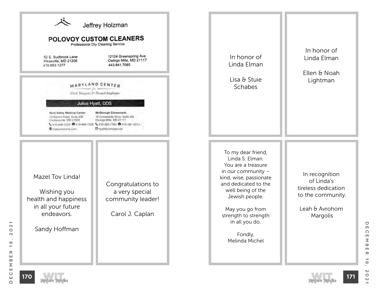



 $\rightarrow$ 

 $\infty$ 

 $\boldsymbol{\mathsf{N}}$ 

 $\circ$ 

 $\overline{C}$ 

 $\rm \pi$ 

U

 $\Box$ 

 $\Omega$ 

 $\blacksquare$  $\leq$ 

 $\infty$ 

 $\blacksquare$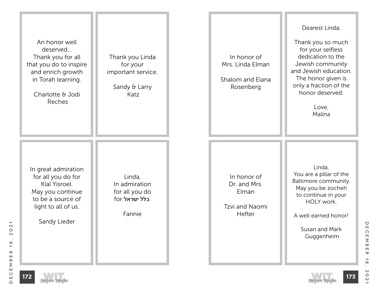



 $\rightarrow$ 

 $\infty$ 

 $\mathsf{N}$ 

 $\circ$ 

 $\mathsf{N}$ 

 $\rm \pi$ 

 $\bigcirc$ 

 $\Box$ 

 $\Omega$ 

 $\blacksquare$  $\leq$ 

 $\infty$ 

 $\blacksquare$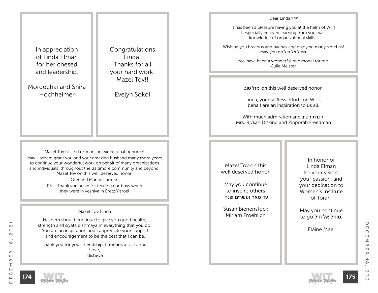In appreciation of Linda Elman for her chesed and leadership.

Mordechai and Shira Hochheimer

Congratulations Linda! Thanks for all your hard work! Mazel Tov!!

Evelyn Sokol

Mazel Tov to Linda Elman, an exceptional honoree! May Hashem grant you and your amazing husband many more years to continue your wonderful work on behalf of many organizations and individuals throughout the Baltimore community and beyond. Mazel Tov on this well deserved honor.

Ofer and Marcie Lurman

PS – Thank you again for feeding our boys when they were in yeshiva in Eretz Yisroel

#### Mazel Tov Linda

Hashem should continue to give you good health, strength and siyata dishmaya in everything that you do. You are an inspiration and I appreciate your support and encouragement to be the best that I can be.

Thank you for your friendship. It means a lot to me. Love, Elisheva

#### עמו''ש,Linda Dear

It has been a pleasure having you at the helm of WIT! I especially enjoyed learning from your vast knowledge of organizational skills!!

Wishing you brachos and nachas and enjoying many simchas! May you go מחיל אל חיל.

> You have been a wonderful role model for me. Julie Meister

טוב מזל on this well deserved honor.

Linda, your selfless efforts on WIT's behalf are an inspiration to us all.

With much admiration and הטוב הכרת, Mrs. Rivkah Diskind and Zipporah Freedman

Mazel Tov on this well deserved honor.

May you continue to inspire others עד מאה ועשרים שנה.

Susan Bienenstock Miriam Froehlich

In honor of Linda Elman for your vision, your passion, and your dedication to Women's Institute of Torah.

May you continue to go מחיל אל חיל.

Elaine Mael





December 18, 2021

 $\rightarrow$ 

 $\infty$ 

 $\mathsf{N}$ 

 $\circ$ 

 $\overline{C}$ 

 $\rm \pi$ 

 $\bigcirc$ 

 $\Box$ 

 $\Omega$ 

 $\blacksquare$ Σ

 $\overline{\mathbf{w}}$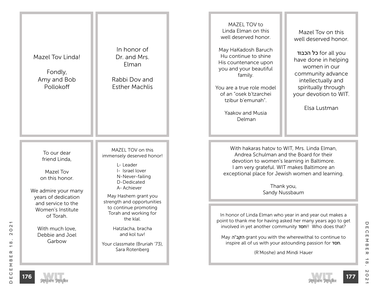





 $\rightarrow$ 

 $\infty$ 

 $\mathsf{N}$ 

 $\circ$ 

 $\overline{C}$ 

 $\rm \pi$ 

 $\bigcirc$ 

 $\Box$ 

 $\Omega$ 

 $\blacksquare$  $\leq$ 

 $\infty$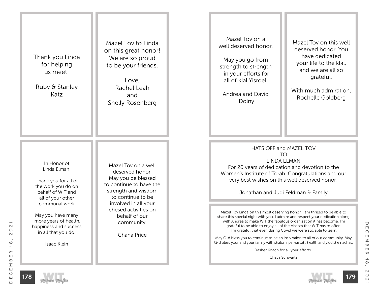Thank you Linda for helping us meet!

Ruby & Stanley Katz

> In Honor of Linda Elman.

Thank you for all of the work you do on behalf of WIT and all of your other communal work.

May you have many more years of health, happiness and success in all that you do.

Isaac Klein

Mazel Tov to Linda on this great honor! We are so proud to be your friends.

Love, Rachel Leah and Shelly Rosenberg

Mazel Tov on a well deserved honor. May you be blessed to continue to have the strength and wisdom to continue to be involved in all your chesed activities on behalf of our community.

Chana Price

Mazel Tov on a well deserved honor.

May you go from strength to strength in your efforts for all of Klal Yisroel.

Andrea and David Dolny

Mazel Tov on this well deserved honor. You have dedicated your life to the klal, and we are all so grateful.

With much admiration Rochelle Goldberg

HATS OFF and MAZEL TOV TO LINDA ELMAN For 20 years of dedication and devotion to the Women's Institute of Torah. Congratulations and our very best wishes on this well deserved honor!

Jonathan and Judi Feldman & Family

Mazel Tov Linda on this most deserving honor. I am thrilled to be able to share this special night with you. I admire and respect your dedication along with Andrea to make WIT the fabulous organization it has become. I'm grateful to be able to enjoy all of the classes that WIT has to offer. I'm grateful that even during Covid we were still able to learn.

May G-d bless you to continue to be an inspiration to all of our community. May G-d bless your and your family with shalom, parnassah, health and yiddishe nachas.

Yasher Koach for all your efforts.

Chava Schwartz

**178**





December 18, 2021

 $\rightarrow$ 

 $\infty$ 

 $\mathsf{N}$ 

 $\circ$ 

 $\overline{C}$ 

 $\rm \pi$ 

U

 $\Box$ 

 $\Omega$ 

 $\blacksquare$  $\overline{\leq}$ 

 $\infty$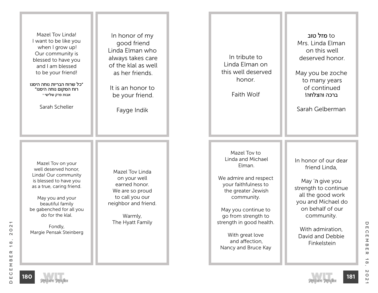| Mazel Toy Linda!<br>I want to be like you<br>when I grow up!<br>Our community is<br>blessed to have you<br>and I am blessed<br>to be your friend!<br>״כל שרוח הבריות נוחה הימנו<br>רוח המקום נוחה הימנו״<br>אבות פרק שלישי י<br>Sarah Scheller         | In honor of my<br>good friend<br>Linda Elman who<br>always takes care<br>of the klal as well<br>as her friends.<br>It is an honor to<br>be your friend.<br>Fayge Indik | In tribute to<br>Linda Elman on<br>this well deserved<br>honor.<br>Faith Wolf                                                                                                                                                                                          | ot <b>מזל טוב</b><br>Mrs. Linda Elman<br>on this well<br>deserved honor.<br>May you be zoche<br>to many years<br>of continued<br>ברכה והצלחה!<br>Sarah Gelberman                                                     |
|--------------------------------------------------------------------------------------------------------------------------------------------------------------------------------------------------------------------------------------------------------|------------------------------------------------------------------------------------------------------------------------------------------------------------------------|------------------------------------------------------------------------------------------------------------------------------------------------------------------------------------------------------------------------------------------------------------------------|----------------------------------------------------------------------------------------------------------------------------------------------------------------------------------------------------------------------|
| Mazel Tov on your<br>well deserved honor,<br>Linda! Our community<br>is blessed to have you<br>as a true, caring friend.<br>May you and your<br>beautiful family<br>be gabenched for all you<br>do for the klal.<br>Fondly,<br>Margie Pensak Steinberg | Mazel Tov Linda<br>on your well<br>earned honor.<br>We are so proud<br>to call you our<br>neighbor and friend.<br>Warmly,<br>The Hyatt Family                          | Mazel Toy to<br>Linda and Michael<br>Elman.<br>We admire and respect<br>your faithfulness to<br>the greater Jewish<br>community.<br>May you continue to<br>go from strength to<br>strength in good health.<br>With great love<br>and affection,<br>Nancy and Bruce Kay | In honor of our dear<br>friend Linda,<br>May 'n give you<br>strength to continue<br>all the good work<br>you and Michael do<br>on behalf of our<br>community.<br>With admiration,<br>David and Debbie<br>Finkelstein |



 $\frac{1}{8}$  .

 $2021$ 

DECEMBER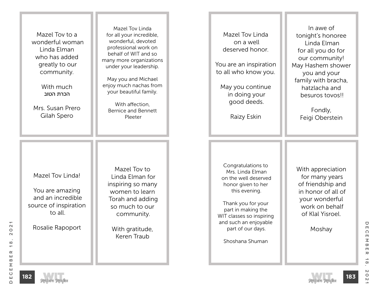| Mazel Toy to a<br>wonderful woman<br>Linda Elman<br>who has added<br>greatly to our<br>community.<br>With much<br>הכרת הטוב<br>Mrs. Susan Prero<br>Gilah Spero | Mazel Tov Linda<br>for all your incredible,<br>wonderful, devoted<br>professional work on<br>behalf of WIT and so<br>many more organizations<br>under your leadership.<br>May you and Michael<br>enjoy much nachas from<br>your beautiful family.<br>With affection,<br><b>Bernice and Bennett</b><br>Pleeter | Mazel Toy Linda<br>on a well<br>deserved honor.<br>You are an inspiration<br>to all who know you.<br>May you continue<br>in doing your<br>good deeds.<br>Raizy Eskin                                                                           | In awe of<br>tonight's honoree<br>Linda Elman<br>for all you do for<br>our community!<br>May Hashem shower<br>you and your<br>family with bracha,<br>hatzlacha and<br>besuros tovos!!<br>Fondly,<br>Feigi Oberstein |
|----------------------------------------------------------------------------------------------------------------------------------------------------------------|---------------------------------------------------------------------------------------------------------------------------------------------------------------------------------------------------------------------------------------------------------------------------------------------------------------|------------------------------------------------------------------------------------------------------------------------------------------------------------------------------------------------------------------------------------------------|---------------------------------------------------------------------------------------------------------------------------------------------------------------------------------------------------------------------|
| Mazel Toy Linda!<br>You are amazing<br>and an incredible<br>source of inspiration<br>to all.<br>Rosalie Rapoport                                               | Mazel Toy to<br>Linda Elman for<br>inspiring so many<br>women to learn<br>Torah and adding<br>so much to our<br>community.<br>With gratitude,<br>Keren Traub                                                                                                                                                  | Congratulations to<br>Mrs. Linda Elman<br>on the well deserved<br>honor given to her<br>this evening.<br>Thank you for your<br>part in making the<br>WIT classes so inspiring<br>and such an enjoyable<br>part of our days.<br>Shoshana Shuman | With appreciation<br>for many years<br>of friendship and<br>in honor of all of<br>your wonderful<br>work on behalf<br>of Klal Yisroel.<br>Moshay                                                                    |

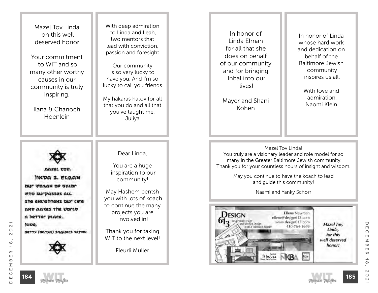Mazel Tov Linda on this well deserved honor.

Your commitment to WIT and so many other worthy causes in our community is truly inspiring.

Ilana & Chanoch Hoenlein

With deep admiration to Linda and Leah, two mentors that lead with conviction, passion and foresight.

Our community is so very lucky to have you. And I'm so lucky to call you friends.

My hakaras hatov for all that you do and all that you've taught me, Juliya

INDA S. ELAAN DUT VOGAN DE VALDE **Who surpasses acc.** she exclotivens our cire *AND AAXES The UDILD* a better place.

Dear Linda,

You are a huge inspiration to our community!

May Hashem bentsh you with lots of koach to continue the many projects you are involved in!

Thank you for taking WIT to the next level!

Fleurli Muller

In honor of Linda Elman for all that she does on behalf of our community and for bringing Inbal into our lives!

Mayer and Shani Kohen

In honor of Linda whose hard work and dedication on behalf of the Baltimore Jewish community inspires us all.

> With love and admiration, Naomi Klein

Mazel Tov Linda! You truly are a visionary leader and role model for so many in the Greater Baltimore Jewish community. Thank you for your countless hours of insight and wisdom.

> May you continue to have the koach to lead and guide this community!

> > Naami and Yanky Schorr



U

 $\Box$ 

 $\Omega$ 

**185**

Inpe.

BRTTY (BATYA) SAGURES SRIDRE



December 18, 2021

 $\alpha$ 

ш

 $\Omega$ 

Σ ш

 $\circ$ 

ш

 $\cap$ 

 $\mathbf{\Omega}$ 

 $\circ$ 

 $\sim$ 

 $\infty$ 

 $\overline{\phantom{0}}$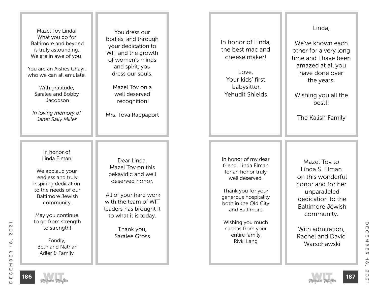| Mazel Tov Linda!<br>What you do for<br>Baltimore and beyond<br>is truly astounding.<br>We are in awe of you!<br>You are an Aishes Chayil                                | You dress our<br>bodies, and through<br>your dedication to<br>WIT and the growth<br>of women's minds<br>and spirit, you<br>dress our souls. | In honor of Linda,<br>the best mac and<br>cheese maker!<br>Love,                                                                                             | Linda,<br>We've known each<br>other for a very long<br>time and I have been<br>amazed at all you<br>have done over                       |
|-------------------------------------------------------------------------------------------------------------------------------------------------------------------------|---------------------------------------------------------------------------------------------------------------------------------------------|--------------------------------------------------------------------------------------------------------------------------------------------------------------|------------------------------------------------------------------------------------------------------------------------------------------|
| who we can all emulate.<br>With gratitude,<br>Saralee and Bobby<br>Jacobson<br>In loving memory of<br>Janet Sally Miller                                                | Mazel Toy on a<br>well deserved<br>recognition!<br>Mrs. Tova Rappaport                                                                      | Your kids' first<br>babysitter,<br>Yehudit Shields                                                                                                           | the years.<br>Wishing you all the<br>best!!<br>The Kalish Family                                                                         |
| In honor of<br>Linda Elman:<br>We applaud your<br>endless and truly<br>inspiring dedication                                                                             | Dear Linda,<br>Mazel Tov on this<br>bekavidic and well<br>deserved honor.                                                                   | In honor of my dear<br>friend, Linda Elman<br>for an honor truly<br>well deserved.                                                                           | Mazel Toy to<br>Linda S. Elman<br>on this wonderful<br>honor and for her                                                                 |
| to the needs of our<br><b>Baltimore Jewish</b><br>community.<br>May you continue<br>to go from strength<br>to strength!<br>Fondly,<br>Beth and Nathan<br>Adler & Family | All of your hard work<br>with the team of WIT<br>leaders has brought it<br>to what it is today.<br>Thank you,<br>Saralee Gross              | Thank you for your<br>generous hospitality<br>both in the Old City<br>and Baltimore.<br>Wishing you much<br>nachas from your<br>entire family,<br>Rivki Lang | unparalleled<br>dedication to the<br><b>Baltimore Jewish</b><br>community.<br>With admiration,<br><b>Rachel and David</b><br>Warschawski |



 $\frac{1}{8}$  .

 $2021$ 

DECEMBER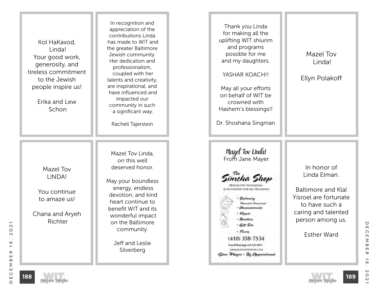| Kol HaKavod,<br>Linda!<br>Your good work,<br>generosity, and<br>tireless commitment<br>to the Jewish<br>people inspire us!<br>Erika and Lew<br>Schon | In recognition and<br>appreciation of the<br>contributions Linda<br>has made to WIT and<br>the greater Baltimore<br>Jewish community.<br>Her dedication and<br>professionalism,<br>coupled with her<br>talents and creativity,<br>are inspirational, and<br>have influenced and<br>impacted our<br>community in such<br>a significant way.<br>Rachell Tajerstein | Thank you Linda<br>for making all the<br>uplifting WIT shiurim<br>and programs<br>possible for me<br>and my daughters.<br>YASHAR KOACH!!<br>May all your efforts<br>on behalf of WIT be<br>crowned with<br>Hashem's blessings!!<br>Dr. Shoshana Singman                                                        | Mazel Tov<br>Linda!<br>Ellyn Polakoff                                                                                                                                |
|------------------------------------------------------------------------------------------------------------------------------------------------------|------------------------------------------------------------------------------------------------------------------------------------------------------------------------------------------------------------------------------------------------------------------------------------------------------------------------------------------------------------------|----------------------------------------------------------------------------------------------------------------------------------------------------------------------------------------------------------------------------------------------------------------------------------------------------------------|----------------------------------------------------------------------------------------------------------------------------------------------------------------------|
| Mazel Tov<br>LINDA!<br>You continue<br>to amaze us!<br>Chana and Aryeh<br>Richter                                                                    | Mazel Tov Linda,<br>on this well<br>deserved honor.<br>May your boundless<br>energy, endless<br>devotion, and kind<br>heart continue to<br>benefit WIT and its<br>wonderful impact<br>on the Baltimore<br>community.<br>Jeff and Leslie<br>Silverberg                                                                                                            | Mazel Tov Linda!<br>From Jane Mayer<br>ncha Shop<br><b>CESSORIES FOR ALL OCCASIONS</b><br>Stationorg<br>Personal & Commission<br>· Consuments<br>Kuppel<br><i>Benchers</i><br>· Gift Sets<br>- Favors<br>(410) 358-7534<br>Text/WhatsApp 410-245-8915<br>THESPACHASHOP/PASS/COM<br>Opne Mayer . By Appeintment | In honor of<br>Linda Elman.<br><b>Baltimore and Klal</b><br>Yisroel are fortunate<br>to have such a<br>caring and talented<br>person among us.<br><b>Esther Ward</b> |



December 18, 2021

 $18,$ 

 $2021$ 

DECEMBER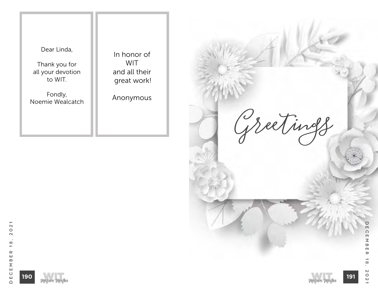Dear Linda,

Thank you for all your devotion to WIT.

Fondly, Noemie Wealcatch

In honor of WIT and all their great work!

Anonymous

**Greetings DEC** December 18, 2021  $\overline{\mathsf{m}}$  $\overline{\leq}$  $\frac{1}{10}$  $\pmb{\pi}$  $\frac{1}{8}$  $\mathsf{N}$  $021$ **191** Melave Malka

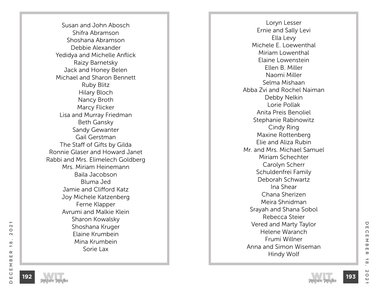Susan and John Abosch Shifra Abramson Shoshana Abramson Debbie Alexander Yedidya and Michelle Anflick Raizy Barnetsky Jack and Honey Belen Michael and Sharon Bennett Ruby Blitz Hilary Bloch Nancy Broth Marcy Flicker Lisa and Murray Friedman Beth Gansky Sandy Gewanter Gail Gerstman The Staff of Gifts by Gilda Ronnie Glaser and Howard Janet Rabbi and Mrs. Elimelech Goldberg Mrs. Miriam Heinemann Baila Jacobson Bluma Jed Jamie and Clifford Katz Joy Michele Katzenberg Ferne Klapper Avrumi and Malkie Klein Sharon Kowalsky Shoshana Kruger Elaine Krumbein Mina Krumbein Sorie Lax

Loryn Lesser Ernie and Sally Levi Ella Levy Michele E. Loewenthal Miriam Lowenthal Elaine Lowenstein Ellen B. Miller Naomi Miller Selma Mishaan Abba Zvi and Rochel Naiman Debby Nelkin Lorie Pollak Anita Preis Benoliel Stephanie Rabinowitz Cindy Ring Maxine Rottenberg Elie and Aliza Rubin Mr. and Mrs. Michael Samuel Miriam Schechter Carolyn Scherr Schuldenfrei Family Deborah Schwartz Ina Shear Chana Sherizen Meira Shnidman Srayah and Shana Sobol Rebecca Steier Vered and Marty Taylor Helene Waranch Frumi Willner Anna and Simon Wiseman Hindy Wolf



 $\bigcirc$ 

 $\Box$ 

 $\Omega$ 

 $\blacksquare$  $\leq$ 

 $\infty$